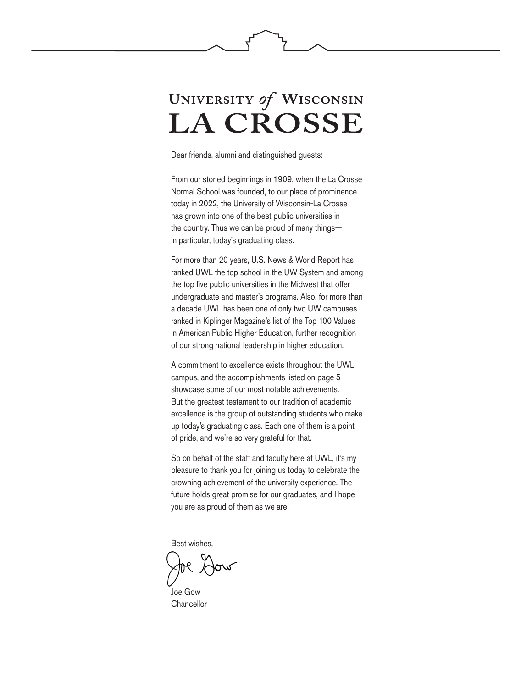# UNIVERSITY of WISCONSIN **LA CROSSE**

Dear friends, alumni and distinguished guests:

From our storied beginnings in 1909, when the La Crosse Normal School was founded, to our place of prominence today in 2022, the University of Wisconsin-La Crosse has grown into one of the best public universities in the country. Thus we can be proud of many things in particular, today's graduating class.

For more than 20 years, U.S. News & World Report has ranked UWL the top school in the UW System and among the top five public universities in the Midwest that offer undergraduate and master's programs. Also, for more than a decade UWL has been one of only two UW campuses ranked in Kiplinger Magazine's list of the Top 100 Values in American Public Higher Education, further recognition of our strong national leadership in higher education.

A commitment to excellence exists throughout the UWL campus, and the accomplishments listed on page 5 showcase some of our most notable achievements. But the greatest testament to our tradition of academic excellence is the group of outstanding students who make up today's graduating class. Each one of them is a point of pride, and we're so very grateful for that.

So on behalf of the staff and faculty here at UWL, it's my pleasure to thank you for joining us today to celebrate the crowning achievement of the university experience. The future holds great promise for our graduates, and I hope you are as proud of them as we are!

Best wishes,

Joe Gow **Chancellor**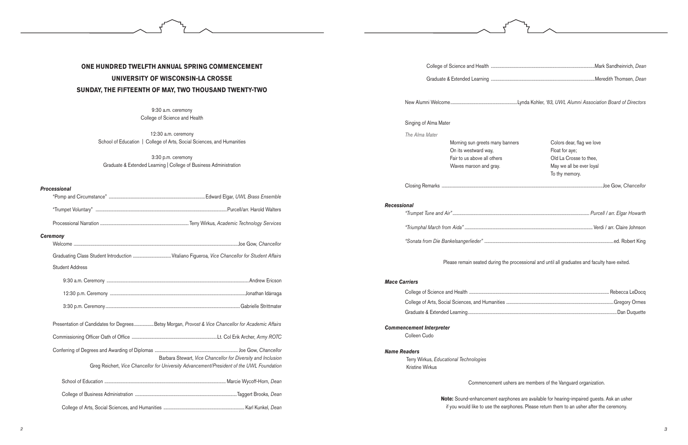## **ONE HUNDRED TWELFTH ANNUAL SPRING COMMENCEMENT UNIVERSITY OF WISCONSIN-LA CROSSE SUNDAY, THE FIFTEENTH OF MAY, TWO THOUSAND TWENTY-TWO**

12:30 a.m. ceremony School of Education | College of Arts, Social Sciences, and Humanities

9:30 a.m. ceremony College of Science and Health

3:30 p.m. ceremony Graduate & Extended Learning | College of Business Administration

#### *Processional*

| <b>Ceremony</b> |                        |                                                                                                                                                           |
|-----------------|------------------------|-----------------------------------------------------------------------------------------------------------------------------------------------------------|
|                 |                        |                                                                                                                                                           |
|                 |                        |                                                                                                                                                           |
|                 | <b>Student Address</b> |                                                                                                                                                           |
|                 |                        |                                                                                                                                                           |
|                 |                        |                                                                                                                                                           |
|                 |                        |                                                                                                                                                           |
|                 |                        | Presentation of Candidates for DegreesBetsy Morgan, Provost & Vice Chancellor for Academic Affairs                                                        |
|                 |                        |                                                                                                                                                           |
|                 |                        |                                                                                                                                                           |
|                 |                        | Barbara Stewart, Vice Chancellor for Diversity and Inclusion<br>Greg Reichert, Vice Chancellor for University Advancement/President of the UWL Foundation |
|                 |                        |                                                                                                                                                           |
|                 |                        |                                                                                                                                                           |
|                 |                        |                                                                                                                                                           |

College of Science and Health .............

Graduate & Extended Learning ..............

*Recessional "Trumpet Tune and Air" ............................................................................................................................. Purcell / arr. Elgar Howarth "Triumphal March from Aida"* ..................................................................................................................... Verdi / arr. Claire Johnson "Sonata from Die Bankelsangerlieder" ...................

New Alumni Welcome.............................................................Lynda Kohler, *'83, UWL Alumni Association Board of Directors*

Singing of Alma Mater

*The Alma Mater*

Morning sun greets many ba On its westward way, Fair to us above all others Waves maroon and gray.

Closing Remarks ....

| anners | Colors dear, flag we love<br>Float for aye;<br>Old La Crosse to thee,<br>May we all be ever loyal<br>To thy memory. |
|--------|---------------------------------------------------------------------------------------------------------------------|
|        |                                                                                                                     |
|        |                                                                                                                     |
|        |                                                                                                                     |
|        |                                                                                                                     |

Please remain seated during the processional and until all graduates and faculty have exited.

#### *Mace Carriers*

College of Science and Health ........... College of Arts, Social Sciences, and Humanities Graduate & Extended Learning.......................

*Commencement Interpreter*  Colleen Cudo

*Name Readers* Terry Wirkus, *Educational Technologies* Kristine Wirkus

Commencement ushers are members of the Vanguard organization.

**Note:** Sound-enhancement earphones are available for hearing-impaired guests. Ask an usher if you would like to use the earphones. Please return them to an usher after the ceremony.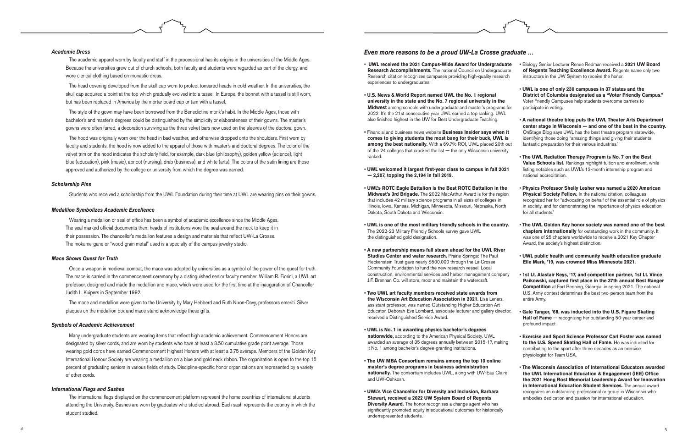- **UWL received the 2021 Campus-Wide Award for Undergraduate Research Accomplishments.** The national Council on Undergraduate Research citation recognizes campuses providing high-quality research experiences to undergraduates. **• U.S. News & World Report named UWL the No. 1 regional university in the state and the No. 7 regional university in the Midwest** among schools with undergraduate and master's programs for 2022. It's the 21st consecutive year UWL earned a top ranking. UWL also finished highest in the UW for Best Undergraduate Teaching. **•** Financial and business news website **Business Insider says when it comes to giving students the most bang for their buck, UWL is among the best nationally.** With a 69.7% ROI, UWL placed 20th out of the 24 colleges that cracked the list — the only Wisconsin university ranked. **• UWL welcomed it largest first-year class to campus in fall 2021 — 2,207, topping the 2,194 in fall 2019. • UWL's ROTC Eagle Battalion is the Best ROTC Battalion in the Midwest's 3rd Brigade.** The 2022 MacArthur Award is for the region that includes 42 military science programs in all sizes of colleges in Illinois, Iowa, Kansas, Michigan, Minnesota, Missouri, Nebraska, North Dakota, South Dakota and Wisconsin. **• UWL is one of the most military friendly schools in the country.**  The 2022-23 Military Friendly Schools survey gave UWL the distinguished gold designation. **• A new partnership means full steam ahead for the UWL River Studies Center and water research.** Prairie Springs: The Paul Fleckenstein Trust gave nearly \$500,000 through the La Crosse Community Foundation to fund the new research vessel. Local construction, environmental services and harbor management company J.F. Brennan Co. will store, moor and maintain the watercraft. **• Two UWL art faculty members received state awards from the Wisconsin Art Education Association in 2021.** Lisa Lenarz, assistant professor, was named Outstanding Higher Education Art Educator. Deborah-Eve Lombard, associate lecturer and gallery director, received a Distinguished Service Award. **• UWL is No. 1 in awarding physics bachelor's degrees nationwide,** according to the American Physical Society. UWL awarded an average of 35 degrees annually between 2015-17, making **•** Biology Senior Lecturer Renee Redman received a **2021 UW Board of Regents Teaching Excellence Award.** Regents name only two instructors in the UW System to receive the honor. **• UWL is one of only 230 campuses in 37 states and the District of Columbia designated as a "Voter Friendly Campus."**  Voter Friendly Campuses help students overcome barriers to participate in voting. **• A national theatre blog puts the UWL Theater Arts Department center stage in Wisconsin — and one of the best in the country.**  OnStage Blog says UWL has the best theatre program statewide, identifying those doing "amazing things and giving their students fantastic preparation for their various industries." **• The UWL Radiation Therapy Program is No. 7 on the Best Value Schools list.** Rankings highlight tuition and enrollment, while listing notables such as UWL's 13-month internship program and national accreditation. **• Physics Professor Shelly Lesher was named a 2020 American Physical Society Fellow.** In the national citation, colleagues recognized her for "advocating on behalf of the essential role of physics in society, and for demonstrating the importance of physics education for all students." **• The UWL Golden Key honor society was named one of the best chapters internationally** for outstanding work in the community. It was one of 25 chapters worldwide to receive a 2021 Key Chapter Award, the society's highest distinction. **• UWL public health and community health education graduate Elle Mark, '19, was crowned Miss Minnesota 2021. • 1st Lt. Alastair Keys, '17, and competition partner, 1st Lt. Vince Paikowski, captured first place in the 37th annual Best Ranger Competition** at Fort Benning, Georgia, in spring 2021. The national U.S. Army contest determines the best two-person team from the entire Army. **• Gale Tanger, '68, was inducted into the U.S. Figure Skating**  Hall of Fame – recognizing her outstanding 50-year career and profound impact. **• Exercise and Sport Science Professor Carl Foster was named to the U.S. Speed Skating Hall of Fame.** He was inducted for
- 
- 
- 
- 
- 
- 
- 
- it No. 1 among bachelor's degree-granting institutions. contributing to the sport after three decades as an exercise physiologist for Team USA.
- **The UW MBA Consortium remains among the top 10 online master's degree programs in business administration nationally.** The consortium includes UWL, along with UW-Eau Claire and UW-Oshkosh. **• UWL's Vice Chancellor for Diversity and Inclusion, Barbara • The Wisconsin Association of International Educators awarded the UWL International Education & Engagement (IEE) Office the 2021 Hong Rost Memorial Leadership Award for Innovation in International Education Student Services.** The annual award recognizes an outstanding professional or group in Wisconsin who embodies dedication and passion for international education.
- **Stewart, received a 2022 UW System Board of Regents Diversity Award.** The honor recognizes a change agent who has significantly promoted equity in educational outcomes for historically underrepresented students.

#### *Academic Dress*

The academic apparel worn by faculty and staff in the processional has its origins in the universities of the Middle Ages. Because the universities grew out of church schools, both faculty and students were regarded as part of the clergy, and wore clerical clothing based on monastic dress.

The head covering developed from the skull cap worn to protect tonsured heads in cold weather. In the universities, the skull cap acquired a point at the top which gradually evolved into a tassel. In Europe, the bonnet with a tassel is still worn, but has been replaced in America by the mortar board cap or tam with a tassel.

The style of the gown may have been borrowed from the Benedictine monk's habit. In the Middle Ages, those with bachelor's and master's degrees could be distinguished by the simplicity or elaborateness of their gowns. The master's gowns were often furred, a decoration surviving as the three velvet bars now used on the sleeves of the doctoral gown.

The hood was originally worn over the head in bad weather, and otherwise dropped onto the shoulders. First worn by faculty and students, the hood is now added to the apparel of those with master's and doctoral degrees. The color of the velvet trim on the hood indicates the scholarly field, for example, dark blue (philosophy), golden yellow (science), light blue (education), pink (music), apricot (nursing), drab (business), and white (arts). The colors of the satin lining are those approved and authorized by the college or university from which the degree was earned.

#### *Scholarship Pins*

Students who received a scholarship from the UWL Foundation during their time at UWL are wearing pins on their gowns.

#### *Medallion Symbolizes Academic Excellence*

Wearing a medallion or seal of office has been a symbol of academic excellence since the Middle Ages. The seal marked official documents then; heads of institutions wore the seal around the neck to keep it in their possession. The chancellor's medallion features a design and materials that reflect UW-La Crosse. The mokume-gane or "wood grain metal" used is a specialty of the campus jewelry studio.

#### *Mace Shows Quest for Truth*

Once a weapon in medieval combat, the mace was adopted by universities as a symbol of the power of the quest for truth. The mace is carried in the commencement ceremony by a distinguished senior faculty member. William R. Fiorini, a UWL art professor, designed and made the medallion and mace, which were used for the first time at the inauguration of Chancellor Judith L. Kuipers in September 1992.

The mace and medallion were given to the University by Mary Hebberd and Ruth Nixon-Davy, professors emeriti. Silver plaques on the medallion box and mace stand acknowledge these gifts.

#### *Symbols of Academic Achievement*

Many undergraduate students are wearing items that reflect high academic achievement. Commencement Honors are designated by silver cords, and are worn by students who have at least a 3.50 cumulative grade point average. Those wearing gold cords have earned Commencement Highest Honors with at least a 3.75 average. Members of the Golden Key International Honour Society are wearing a medallion on a blue and gold neck ribbon. The organization is open to the top 15 percent of graduating seniors in various fields of study. Discipline-specific honor organizations are represented by a variety of other cords.

#### *International Flags and Sashes*

The international flags displayed on the commencement platform represent the home countries of international students attending the University. Sashes are worn by graduates who studied abroad. Each sash represents the country in which the student studied.

#### *Even more reasons to be a proud UW-La Crosse graduate …*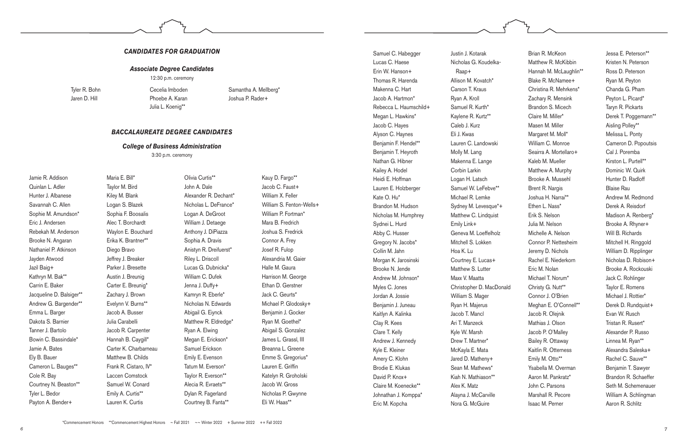#### *CANDIDATES FOR GRADUATION*

#### *Associate Degree Candidates*

12:30 p.m. ceremony

#### *BACCALAUREATE DEGREE CANDIDATES*

#### *College of Business Administration*

3:30 p.m. ceremony

Jamie R. Addison Quinlan L. Adler Hunter J. Albanese Savannah C. Allen Sophie M. Amundson\* Eric J. Andersen Rebekah M. Anderson Brooke N. Angaran Nathaniel P. Atkinson Jayden Atwood Jazil Baig+ Kathryn M. Bak\*\* Carrin E. Baker Jacqueline D. Balsiger\*\* Andrew G. Bargender\*\* Emma L. Barger Dakota S. Barnier Tanner J. Bartolo Bowin C. Bassindale\* Jamie A. Bates Ely B. Bauer Cameron L. Bauges\*\* Cole R. Bay Courtney N. Beaston\*\* Tyler L. Bedor Payton A. Bender+

Maria E. Bill\* Taylor M. Bird Kiley M. Blank Logan S. Blazek Sophia F. Boosalis Alec T. Borchardt Waylon E. Bouchard Erika K. Brantner\*\* Diego Bravo Jeffrey J. Breaker Parker J. Bresette Austin J. Breunig Carter E. Breunig\* Zachary J. Brown Evelynn V. Burns\*\* Jacob A. Busser Julia Carabelli Jacob R. Carpenter Hannah B. Caygill\* Carter K. Charbarneau Matthew B. Childs Frank R. Cistaro, IV\* Laccen Comstock Samuel W. Conard Emily A. Curtis\*\* Lauren K. Curtis

Olivia Curtis\*\* John A. Dale Alexander R. Dechant\* Nicholas L. DeFrance\* Logan A. DeGroot William J. Detaege Anthony J. DiPiazza Sophia A. Dravis Anistyn R. Dreifuerst\* Riley L. Driscoll Lucas G. Dubnicka\* William C. Dufek Jenna J. Duffy+ Kamryn R. Eberle\* Nicholas N. Edwards Abigail G. Eiynck Matthew R. Eldredge\* Ryan A. Elwing Megan E. Erickson\* Samuel Erickson Emily E. Evenson Tatum M. Everson\* Taylor R. Everson\*\* Alecia R. Evraets\*\* Dylan R. Fagerland Courtney B. Fanta\*\*

Kauy D. Fargo\*\* Jacob C. Faust+ William X. Feller William S. Fenton-Wells+ William P. Fortman\* Mara B. Fredrich Joshua S. Fredrick Connor A. Frey Josef R. Fulop Alexandria M. Gaier Halle M. Gaura Harrison M. George Ethan D. Gerstner Jack C. Geurts\* Michael P. Glodosky+ Benjamin J. Gocker Ryan M. Goethel\* Abigail S. Gonzalez James L. Grassl, III Breanna L. Greene Emme S. Gregorius\* Lauren E. Griffin Katelyn R. Groholski Jacob W. Gross Nicholas P. Gwynne Eli W. Haas\*\*

Samuel C. Habegger Lucas C. Haese Erin W. Hanson+ Thomas R. Harenda Makenna C. Hart Jacob A. Hartmon\* Rebecca L. Haumschild+ Megan L. Hawkins\* Jacob C. Hayes Alyson C. Haynes Benjamin F. Hendel\*\* Benjamin T. Heyroth Nathan G. Hibner Kailey A. Hodel Heidi E. Hoffman Lauren E. Holzberger Kate O. Hu\* Brandon M. Hudson Nicholas M. Humphrey Sydnei L. Hurd Abby C. Husser Gregory N. Jacobs\* Collin M. Jahn Morgan K. Jarosinski Brooke N. Jende Andrew M. Johnson\* Myles C. Jones Jordan A. Jossie Benjamin J. Juneau Kaitlyn A. Kalinka Clay R. Kees Clare T. Kelly Andrew J. Kennedy Kyle E. Kleiner Amery C. Klohn Brodie E. Klukas David P. Knox+ Claire M. Koenecke\*\* Johnathan J. Komppa\* Eric M. Kopcha

Justin J. Kotarak Nicholas G. Koudelka-Raap+ Allison M. Kovatch\* Carson T. Kraus Ryan A. Kroll Samuel R. Kurth\* Kaylene R. Kurtz\*\* Caleb J. Kurz Eli J. Kwas Lauren C. Landowski Molly M. Lang Makenna E. Lange Corbin Larkin Logan H. Latsch Samuel W. LeFebve\*\* Michael R. Lemke Sydney M. Levesque\*+ Matthew C. Lindquist Emily Link+ Geneva M. Loeffelholz Mitchell S. Lokken Hoa K. Lu Courtney E. Lucas+ Matthew S. Lutter Maxx V. Maatta Christopher D. MacDonald William S. Mager Ryan H. Majerus Jacob T. Mancl Ari T. Manzeck Kyle W. Marsh Drew T. Martner\* McKayla E. Mata Jared D. Matheny+ Sean M. Mathews\* Kiah N. Mathiason\*\* Alex K. Matz Alayna J. McCarville Nora G. McGuire

Brian R. McKeon Matthew R. McKibbin Hannah M. McLaughlin\*\* Blake R. McNamee+ Christina R. Mehrkens\* Zachary R. Mensink Brandon S. Micech Claire M. Miller\* Masen M. Miller Margaret M. Moll\* William C. Monroe Seairra A. Mortellaro+ Kaleb M. Mueller Matthew A. Murphy Brooke A. Mussehl Brent R. Nargis Joshua H. Narrai\*\* Ethen L. Nass\* Erik S. Nelson Julia M. Nelson Michelle A. Nelson Connor P. Nettesheim Jeremy D. Nichols Rachel E. Niederkorn Eric M. Nolan Michael T. Norum\* Christy G. Nutt\*\* Connor J. O'Brien Meghan E. O'Connell\*\* Jacob R. Olejnik Mathias J. Olson Jacob P. O'Malley Bailey R. Ottaway Kaitlin R. Otterness Emily M. Otto\*\* Ysabella M. Overman Aaron M. Pankratz\* John C. Parsons Marshall R. Pecore Isaac M. Perner

Jessa E. Peterson\*\* Kristen N. Peterson Ross D. Peterson Ryan M. Peyton Chanda G. Pham Peyton L. Picard\* Taryn R. Pickarts Derek T. Poggemann\*\* Aisling Polley\*\* Melissa L. Ponty Cameron D. Popoutsis Cal J. Poremba Kirston L. Purtell\*\* Dominic W. Quirk Hunter D. Radloff Blaise Rau Andrew M. Redmond Derek A. Reisdorf Madison A. Renberg\* Brooke A. Rhyner+ Will B. Richards Mitchell H. Ringgold William D. Ripplinger Nicholas D. Robison+ Brooke A. Rockouski Jack C. Rohlinger Taylor E. Romens Michael J. Rottier\* Derek D. Rundquist+ Evan W. Rusch Tristan R. Rusert\* Alexander P. Russo Linnea M. Ryan\*\* Alexandra Saleska+ Rachel C. Sauve\*\* Benjamin T. Sawyer Brandon R. Schaeffer Seth M. Schemenauer William A. Schlingman Aaron R. Schlitz

Tyler R. Bohn Jaren D. Hill

Cecelia Imboden Phoebe A. Karan Julia L. Koenig\*\*

Samantha A. Mellberg\* Joshua P. Rader+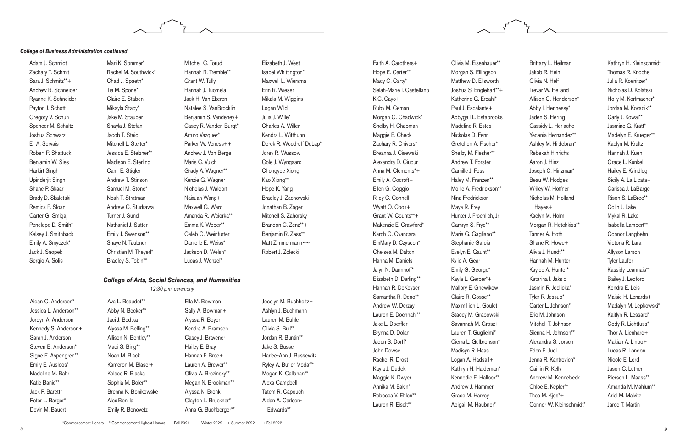Aidan C. Anderson\* Jessica L. Anderson\*\* Jordyn A. Anderson Kennedy S. Anderson+ Sarah J. Anderson Steven B. Anderson\* Signe E. Aspengren\*\* Emily E. Ausloos\* Madeline M. Bahr Katie Banie\*\* Jack P. Barett\* Peter L. Barger\* Devin M. Bauert

Ava L. Beaudot\*\* Abby N. Becker\*\* Jaci J. Bedtka Alyssa M. Belling\*\* Allison N. Bentley\*\* Madi S. Bing\*\* Noah M. Black Kameron M. Blaser+ Kelsee R. Blaska Sophia M. Boler\*\* Brenna K. Bonikowske Alex Bonilla Emily R. Bonovetz

Ella M. Bowman Sally A. Bowman+ Alyssa R. Boyer Kendra A. Bramsen Casey J. Bravener Hailey E. Bray Hannah F. Bree+ Lauren A. Brewer\*\* Olivia A. Brezinsky\*\* Megan N. Brockman\*\* Alyssa N. Bronk Clayton L. Bruckner\* Anna G. Buchberger\*\*

Jocelyn M. Buchholtz+ Ashlyn J. Buchmann Lauren M. Buhle Olivia S. Bull\*\* Jordan R. Buntin\*\* Jake S. Busse Harlee-Ann J. Bussewitz Ryley A. Butler Modaff\* Megan K. Callahan\*\* Alexa Campbell Tatem R. Capouch Aidan A. Carlson-Edwards\*\*

Faith A. Carothers+ Hope E. Carter\*\* Macy C. Carty\* Selah-Marie I. Castellano K.C. Cayo+ Ruby M. Ceman Morgan G. Chadwick\* Shelby H. Chapman Maggie E. Check Zachary R. Chivers\* Breanna J. Cisewski Alexandra D. Ciucur Anna M. Clements\*+ Emily A. Cocroft+ Ellen G. Coggio Riley C. Connell Wyatt O. Cook+ Grant W. Counts\*\*+ Makenzie E. Crawford\* Karch G. Cvancara EmMary D. Czyscon\* Chelsea M. Dalton Hanna M. Daniels Jalyn N. Dannhoff\* Elizabeth D. Darling\*\* Hannah R. DeKeyser Samantha R. Deno\*\* Andrew W. Derzay Lauren E. Dochnahl\*\* Jake L. Doerfler Brynna D. Dolan Jaden S. Dorff\* John Dowse Rachel R. Drost Kayla J. Dudek Maggie K. Dwyer Annika M. Eakin\* Rebecca V. Ehlen\*\* Lauren R. Eiselt\*\*

Olivia M. Eisenhauer\*\* Morgan S. Ellingson Matthew D. Ellsworth Joshua S. Englehart\*\*+ Katherine G. Erdahl\* Paul J. Escalante+ Abbygail L. Estabrooks Madeline R. Estes Nickolas D. Fenn Gretchen A. Fischer\* Shelby M. Flesher\*\* Andrew T. Forster Camille J. Foss Haley M. Franzen\*\* Mollie A. Fredrickson\*\* Nina Fredrickson Maya R. Frey Hunter J. Froehlich, Jr Camryn S. Frye\*\* Maria G. Gagliano\*\* Stephanie Garcia Evelyn E. Gaunt\*\* Kylie A. Gear Emily G. George\* Kayla L. Gerber\*+ Mallory E. Gnewikow Claire R. Gosse\*\* Maximillion L. Goulet Stacey M. Grabowski Savannah M. Grosz+ Lauren T. Guglielmi\* Cierra L. Gulbronson\* Madisyn R. Haas Logan A. Hadsall+ Kathryn H. Haldeman\* Kennedie E. Hallock\*\* Andrew J. Hammer Grace M. Harvey Abigail M. Haubner\*

Brittany L. Heilman Jakob R. Hein Olivia N. Helf Trevar W. Helland Allison G. Henderson\* Abby I. Hennessy\* Jaden S. Hering Cassidy L. Herlache Yecenia Hernandez\*\* Ashley M. Hildebran\* Rebekah Hinrichs Aaron J. Hinz Joseph C. Hinzman\* Beau W. Hodges Wriley W. Hoffner Nicholas M. Holland-Hayes+ Kaelyn M. Holm Morgan R. Hotchkiss\*\* Tanner A. Hoth Shane R. Howe+ Alivia J. Hundt\*\* Hannah M. Hunter Kaylee A. Hunter\* Katarina I. Jaksic Jasmin R. Jedlicka\* Tyler R. Jessup\* Carter L. Johnson\* Eric M. Johnson Mitchell T. Johnson Sienna H. Johnson\*\* Alexandra S. Jorsch Eden E. Juel Jenna R. Kantrovich\* Caitlin R. Kelly Andrew M. Kennebeck Chloe E. Kepler\*\* Thea M. Kjos\*+ Connor W. Kleinschmidt\*

Kathryn H. Kleinschmidt Thomas R. Knoche Julia R. Koenitzer\* Nicholas D. Kolatski Holly M. Korfmacher\* Jordan M. Kovacik\*\* Carly J. Kowal\*\* Jasmine G. Kratt\* Madelyn E. Krueger\*\* Kaelyn M. Krultz Hannah J. Kuehl Grace L. Kunkel Hailey E. Kvindlog Sicily A. La Licata+ Carissa J. LaBarge Rison S. LaBrec\*\* Colin J. Lake Mykal R. Lake Isabella Lambert\*\* Connor Langbehn Victoria R. Lara Allyson Larson Tyler Laufer Kassidy Leannais\*\* Bailey J. Ledford Kendra E. Leis Maisie H. Lenards+ Madalyn M. Lepkowski\* Kaitlyn R. Lessard\* Cody R. Lichtfuss\* Thor A. Lienhard+ Makiah A. Linbo+ Lucas R. London Nicole E. Lord Jason C. Luther Piersen L. Maass\*\* Amanda M. Mahlum\*\* Ariel M. Malvitz Jared T. Martin

#### *College of Arts, Social Sciences, and Humanities*

#### *12:30 p.m. ceremony*

#### *College of Business Administration continued*

Adam J. Schmidt Zachary T. Schmit Sara J. Schmitz\*\*+ Andrew R. Schneider Ryanne K. Schneider Payton J. Schott Gregory V. Schuh Spencer M. Schultz Joshua Schwarz Eli A. Servais Robert P. Shattuck Benjamin W. Sies Harkirt Singh Upinderjit Singh Shane P. Skaar Brady D. Skaletski Remick P. Sloan Carter G. Smigaj Penelope D. Smith\* Kelsey J. Smithback Emily A. Smyczek\* Jack J. Snopek Sergio A. Solis

Mari K. Sommer\* Rachel M. Southwick\* Chad J. Spaeth\* Tia M. Sporle\* Claire E. Staben Mikayla Stacy\* Jake M. Stauber Shayla J. Stefan Jacob T. Steidl Mitchell L. Stelter\* Jessica E. Stelzner\*\* Madison E. Sterling Cami E. Stigler Andrew T. Stinson Samuel M. Stone\* Noah T. Stratman Andrew C. Studrawa Turner J. Sund Nathaniel J. Sutter Emily J. Swenson\*\* Shaye N. Taubner Christian M. Theyerl\* Bradley S. Tobin\*\*

Mitchell C. Torud Hannah R. Tremble\*\* Grant W. Tully Hannah J. Tuomela Jack H. Van Ekeren Natalee S. VanBrocklin Benjamin S. Vandehey+ Casey R. Vanden Burgt\* Arturo Vazquez\* Parker W. Veness++ Andrew J. Von Berge Maris C. Vuich Grady A. Wagner\*\* Kenzie G. Wagner Nicholas J. Waldorf Naixuan Wang+ Maxwell G. Ward Amanda R. Wciorka\*\* Emma K. Weber\*\* Caleb G. Weinfurter Danielle E. Weiss\* Jackson D. Welsh\* Lucas J. Wenzel\*

Elizabeth J. West Isabel Whittington\* Maxwell L. Wiersma Erin R. Wieser Mikala M. Wiggins+ Logan Wild Julia J. Wille\* Charles A. Willer Kendra L. Witthuhn Derek R. Woodruff DeLap\* Jorey R. Wussow Cole J. Wyngaard Chongyee Xiong Kao Xiong\*\* Hope K. Yang Bradley J. Zachowski Jonathan B. Zager Mitchell S. Zahorsky Brandon C. Zenz\*\*+ Benjamin R. Zess\*\* Matt Zimmermann~~ Robert J. Zolecki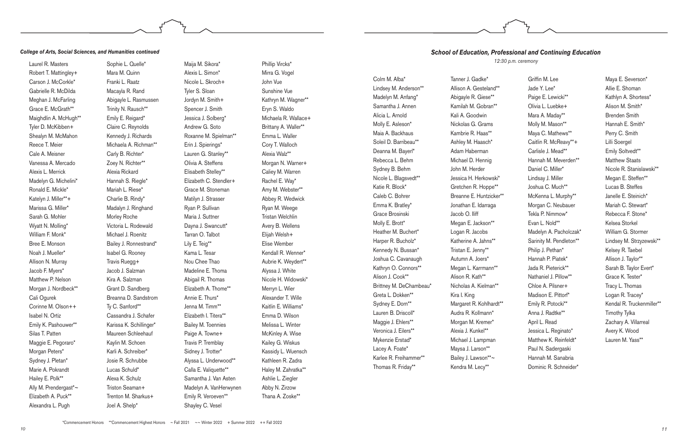Laurel R. Masters Robert T. Mattingley+ Carson J. McCorkle\* Gabrielle R. McDilda Meghan J. McFarling Grace E. McGrath\*\* Maighdlin A. McHugh\*\* Tyler D. McKibben+ Shealyn M. McMahon Reece T. Meier Cale A. Meisner Vanessa A. Mercado Alexis L. Merrick Madelyn G. Michelini\* Ronald E. Mickle\* Katelyn J. Miller\*\*+ Marissa G. Miller\* Sarah G. Mohler Wyatt N. Molling\* William F. Monk\* Bree E. Monson Noah J. Mueller\* Allison N. Murray Jacob F. Myers\* Matthew P. Nelson Morgan J. Nordbeck\*\* Cali Ogurek Corinne M. Olson++ Isabel N. Ortiz Emily K. Pashouwer\*\* Silas T. Patten Maggie E. Pegoraro\* Morgan Peters\* Sydney J. Pletan\* Marie A. Pokrandt Hailey E. Polk\*\* Ally M. Prendergast<sup>\*</sup>~ Elizabeth A. Puck\*\* Alexandra L. Pugh

Sophie L. Quelle\* Mara M. Quinn Franki L. Raatz Macayla R. Rand Abigayle L. Rasmussen Trinity N. Rausch\*\* Emily E. Reigard\* Claire C. Reynolds Kennedy J. Richards Michaela A. Richman\*\* Carly B. Richter\* Zoey N. Richter\*\* Alexia Rickard Hannah S. Riegle\* Mariah L. Riese\* Charlie B. Rindy\* Madalyn J. Ringhand Morley Roche Victoria L. Rodewald Michael J. Roenitz Bailey J. Ronnestrand\* Isabel G. Rooney Travis Ruegg+ Jacob J. Salzman Kira A. Salzman Grant D. Sandberg Breanna D. Sandstrom Ty C. Sanford\*\* Cassandra J. Schafer Karissa K. Schillinger\* Maureen Schleehauf Kaylin M. Schoen Karli A. Schreiber\* Josie R. Schrubbe Lucas Schuld\* Alexa K. Schulz Triston Seaman+ Trenton M. Sharkus+ Joel A. Shelp\*

Maija M. Sikora\* Alexis L. Simon\* Nicole L. Skroch+ Tyler S. Sloan Jordyn M. Smith+ Spencer J. Smith Jessica J. Solberg\* Andrew G. Soto Roxanne M. Spielman\*\* Erin J. Spierings\* Lauren G. Stanley\*\* Olivia A. Steffens Elisabeth Stelley\*\* Elizabeth C. Stendler+ Grace M. Stoneman Matilyn J. Strasser Ryan P. Sullivan Maria J. Suttner Dayna J. Swancutt\* Tarran O. Talbot Lily E. Teig\*\* Kama L. Tesar Nou Chee Thao Madeline E. Thoma Abigail R. Thomas Elizabeth A. Thome\*\* Annie E. Thurs\* Jenna M. Timm\*\* Elizabeth I. Titera\*\* Bailey M. Toennies Paige A. Towne+ Travis P. Tremblay Sidney J. Trotter\* Alyssa L. Underwood\*\* Calla E. Valiquette\*\* Samantha J. Van Asten Madelyn A. VanHerwynen Emily R. Veroeven\*\* Shayley C. Vesel

Phillip Vircks\* Mirra G. Vogel John Vue Sunshine Vue Kathryn M. Wagner\*\* Eryn S. Waldo Michaela R. Wallace+ Brittany A. Waller\*\* Emma L. Waller Cory T. Walloch Alexia Walz\*\* Morgan N. Warner+ Caliey M. Warren Rachel E. Way\* Amy M. Webster\*\* Abbey R. Wedwick Ryan M. Weege Tristan Welchlin Avery B. Wellens Elijah Welsh+ Elise Wember Kendall R. Wenner\* Aubrie K. Weydert\*\* Alyssa J. White Nicole H. Widowski\* Merryn L. Wier Alexander T. Wille Kaitlin E. Williams\* Emma D. Wilson Melissa L. Winter McKinley A. Wise Kailey G. Wiskus Kassidy L. Wuensch Kathleen R. Zadra Haley M. Zahratka\*\* Ashlie L. Ziegler Abby N. Zirzow Thana A. Zoske\*\*

#### *College of Arts, Social Sciences, and Humanities continued*

Colm M. Alba\* Lindsey M. Anderson\*\* Madelyn M. Anfang\* Samantha J. Annen Alicia L. Arnold Molly E. Asleson\* Maia A. Backhaus Soleil D. Barribeau\*\* Deanna M. Bayerl\* Rebecca L. Behm Sydney B. Behm Nicole L. Blagsvedt\*\* Katie R. Block\* Caleb C. Bohrer Emma K. Bratley\* Grace Brosinski Molly E. Brott\* Heather M. Buchert\* Harper R. Bucholz\* Kennedy N. Bussan\* Joshua C. Cavanaugh Kathryn O. Connors\*\* Alison J. Cook\*\* Brittney M. DeChambeau\* Greta L. Dokken\*\* Sydney E. Dorn\*\* Lauren B. Driscoll\* Maggie J. Ehlers\*\* Veronica J. Eilers\*\* Mykenzie Erstad\* Lacey A. Foate\* Karlee R. Freihammer\*\* Thomas R. Friday\*\*

Tanner J. Gadke\* Allison A. Gesteland\*\*

Abigayle R. Giese\*\* Kamilah M. Gobran\*\* Kali A. Goodwin Nickolas G. Grams Kambrie R. Haas\*\* Ashley M. Haasch\* Adam Haberman Michael D. Hennig John M. Herder Jessica H. Herkowski\* Gretchen R. Hoppe\*\* Breanne E. Huntzicker\*\* Jonathan E. Idarraga Jacob O. Iliff Megan E. Jackson\*\* Logan R. Jacobs Katherine A. Jahns\*\* Tristan E. Jenny\*\* Autumn A. Joers\* Megan L. Karrmann\*\* Alison R. Kath\*\* Nicholas A. Kielman\*\* Kira I. King Margaret R. Kohlhardt\*\* Audra R. Kollmann\* Morgan M. Kremer\* Alexia J. Kunkel\*\* Michael J. Lampman Maysa J. Larson\*\* Bailey J. Lawson\*\*~ Kendra M. Lecy\*\*

Griffin M. Lee Jade Y. Lee\* Paige E. Lewicki\*\* Olivia L. Luebke+ Mara A. Maday\*\* Molly M. Mason\*\* Maya C. Mathews\*\* Caitlin R. McReavy\*\*+ Carlisle J. Mead\*\* Hannah M. Meverden\*\* Daniel C. Miller\* Lindsay J. Miller Joshua C. Much\*\* McKenna L. Murphy\*\* Morgan C. Neubauer Tekla P. Nimmow\* Evan L. Nold\*\* Madelyn A. Pacholczak\* Sarinity M. Pendleton\*\* Philip J. Pethan\* Hannah P. Piatek\* Jada R. Pieterick\*\* Nathaniel J. Pillow\*\* Chloe A. Pilsner+ Madison E. Pittorf\* Emily R. Potocki\*\* Anna J. Radtke\*\* April L. Read Jessica L. Reginato\* Matthew K. Reinfeldt\* Paul N. Sadergaski Hannah M. Sanabria Dominic R. Schneider\*

Maya E. Severson\* Allie E. Shoman Kathlyn A. Shortess\* Alison M. Smith\* Brenden Smith Hannah E. Smith\* Perry C. Smith Lilli Soergel Emily Soltvedt\*\* Matthew Staats Nicole R. Stanislawski\*\* Megan E. Steffen\*\* Lucas B. Steffes Janelle E. Steinich\* Mariah C. Stewart\* Rebecca F. Stone\* Kelsea Storkel William G. Stormer Lindsey M. Strzyzewski\*\* Kelsey R. Taebel Allison J. Taylor\*\* Sarah B. Taylor Evert\* Grace K. Tester\* Tracy L. Thomas Logan R. Tracey\* Kendal R. Truckenmiller\*\* Timothy Tylka Zachary A. Villarreal Avery K. Wood Lauren M. Yass\*\*

## *School of Education, Professional and Continuing Education*

*12:30 p.m. ceremony*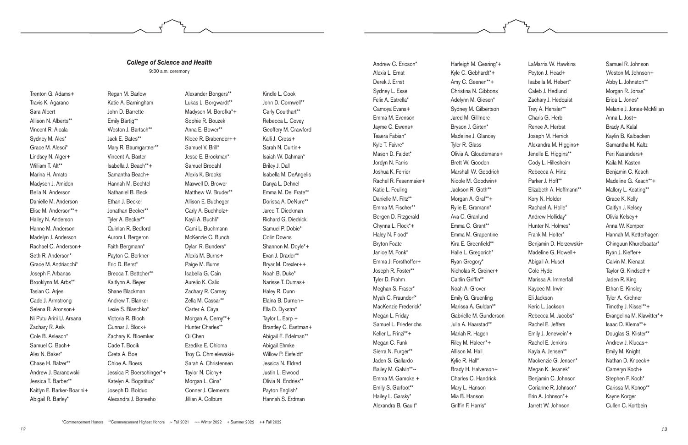Andrew C. Ericson\* Alexia L. Ernst Derek J. Ernst Sydney L. Esse Felix A. Estrella\* Camoya Evans+ Emma M. Evenson Jayme C. Ewens+ Teaera Fabian\* Kyle T. Faivre\* Mason D. Faldet\* Jordyn N. Farris Joshua K. Ferrier Rachel R. Fesenmaier+ Katie L. Feuling Danielle M. Filtz\*\* Emma M. Fischer\*\* Bergen D. Fitzgerald Chynna L. Flock\*+ Haley N. Flood\* Bryton Foate Janice M. Fonk\* Emma J. Forsthoffer+ Joseph R. Foster\*\* Tyler D. Frahm Meghan S. Fraser\* Myah C. Fraundorf\* MacKenzie Frederick\* Megan L. Friday Samuel L. Friederichs Keller L. Frinzi\*\*+ Megan C. Funk Sierra N. Furger\*\* Jaden S. Gallardo Bailey M. Galvin\*\*~ Emma M. Gamoke + Emily S. Garfoot\*\* Hailey L. Garsky\* Alexandra B. Gault\*

Harleigh M. Gearing\*+ Kyle C. Gebhardt\*+ Amy C. Geenen\*\*+ Christina N. Gibbons Adelynn M. Giesen\* Sydney M. Gilbertson Jared M. Gillmore Bryson J. Girten\* Madeline J. Glancey Tyler R. Glass Olivia A. Gloudemans+ Brett W. Gooden Marshall W. Goodrich Nicole M. Goodwin+ Jackson R. Goth\*\* Morgan A. Graf\*\*+ Rylie E. Gramann\* Ava C. Granlund Emma C. Grant\*\* Emma M. Grapentine Kira E. Greenfield\*\* Halle L. Gregorich\* Ryan Gregory\* Nicholas R. Greiner+ Caitlin Griffin\*\* Noah A. Grover Emily G. Gruenling Marissa A. Guldan\*\* Gabrielle M. Gunderson Julia A. Haarstad\*\* Mariah R. Hagen Riley M. Haleen\*+ Allison M. Hall Kylie R. Hall\* Brady H. Halverson+ Charles C. Handrick Mary L. Hanson Mia B. Hanson Griffin F. Harris\*

LaMarria W. Hawkins Peyton J. Head+ Isabella M. Hebert\* Caleb J. Hedlund Zachary J. Hedquist Trey A. Hensler\*\* Charis G. Herb Renee A. Herbst Joseph M. Herrick Alexandra M. Higgins+ Jenelle E. Higgins\*\* Cody L. Hillesheim Rebecca A. Hinz Parker J. Hoff\*\* Elizabeth A. Hoffmann\*\* Kory N. Holder Rachael A. Holle\* Andrew Holliday\* Hunter N. Holmes\* Frank M. Holter\* Benjamin D. Horzewski+ Madeline G. Howell+ Abigail A. Huset Cole Hyde Marissa A. Immerfall Kaycee M. Irwin Eli Jackson Keric L. Jackson Rebecca M. Jacobs\* Rachel E. Jeffers Emily J. Jenewein\*+ Rachel E. Jenkins Kayla A. Jensen\*\* Mackenzie G. Jensen\* Megan K. Jeranek\* Benjamin C. Johnson Corianne R. Johnson\* Erin A. Johnson\*+ Jarrett W. Johnson

Samuel R. Johnson Weston M. Johnson+ Abby L. Johnston\*\* Morgan R. Jonas\* Erica L. Jones\* Melanie J. Jones-McMillan Anna L. Jost+ Brady A. Kalal Kaylin B. Kalbacken Samantha M. Kaltz Peri Kasanders+ Kaila M. Kasten Benjamin C. Keach Madeline G. Keach\*\*+ Mallory L. Keating\*\* Grace K. Kelly Caitlyn J. Kelsey Olivia Kelsey+ Anna W. Kemper Hannah M. Ketterhagen Chinguun Khurelbaatar\* Ryan J. Kieffer+ Calvin M. Kienast Taylor G. Kindseth+ Jaden R. King Ethan E. Kinsley Tyler A. Kirchner Timothy J. Kissel\*\*+ Evangelina M. Klawitter\*+ Isaac D. Klema\*\*+ Douglas S. Klister\*\* Andrew J. Klucas+ Emily M. Knight Nathan D. Knoeck+ Cameryn Koch+ Stephen F. Koch\* Carissa M. Konop\*\* Kayne Korger Cullen C. Kortbein

Trenton G. Adams+ Travis K. Agarano Sara Albert Allison N. Alberts\*\* Vincent R. Alcala Sydney M. Ales\* Grace M. Alesci\* Lindsey N. Alger+ William T. Alt\*\* Marina H. Amato Madysen J. Amidon Bella N. Anderson Danielle M. Anderson Elise M. Anderson\*\*+ Hailey N. Anderson Hanne M. Anderson Madelyn J. Anderson Rachael C. Anderson+ Seth R. Anderson\* Grace M. Andriacchi\* Joseph F. Arbanas Brooklynn M. Arbs\*\* Tasian C. Arjes Cade J. Armstrong Selena R. Aronson+ Ni Putu Arini U. Arsana Zachary R. Asik Cole B. Asleson\* Samuel C. Bach+ Alex N. Baker\* Chase H. Balzer\*\* Andrew J. Baranowski Jessica T. Barber\*\* Kaitlyn E. Barker-Boarini+ Abigail R. Barley\*

Regan M. Barlow Katie A. Barningham John D. Barrette Emily Bartig\*\* Weston J. Bartsch\*\* Jack E. Bates\*\* Mary R. Baumgartner\*\* Vincent A. Baxter Isabella J. Beach\*\*+ Samantha Beach+ Hannah M. Bechtel Nathaniel B. Beck Ethan J. Becker Jonathan Becker\*\* Tyler A. Becker\*\* Quinlan R. Bedford Aurora I. Bergeron Faith Bergmann\* Payton C. Berkner Eric D. Berst\* Brecca T. Bettcher\*\* Kaitlynn A. Beyer Shane Blackman Andrew T. Blanker Lexie S. Blaschko\* Victoria R. Bloch Gunnar J. Block+ Zachary K. Bloemker Cade T. Bocik Greta A. Boe Chloe A. Boers Jessica P. Boerschinger\*+ Katelyn A. Bogatitus\* Joseph D. Bolduc Alexandra J. Bonesho

Alexander Bongers\*\* Lukas L. Borgwardt\*\* Madysen M. Borofka\*+ Sophie R. Bouzek Anna E. Bower\*\* Kloee R. Brabender++ Samuel V. Brill\* Jesse E. Brockman\* Samuel Brodahl Alexis K. Brooks Maxwell D. Brower Matthew W. Bruder\*\* Allison E. Bucheger Carly A. Buchholz+ Kayli A. Buchli\* Cami L. Buchmann McKenzie C. Bunch Dylan R. Bunders\* Alexis M. Burns+ Paige M. Burns Isabella G. Cain Aurelio K. Calix Zachary R. Carney Zella M. Cassar\*\* Carter A. Caya Morgan A. Cerny\*\*+ Hunter Charles\*\* Qi Chen Ezedike E. Chioma Troy G. Chmielewski+ Sarah A. Christensen Taylor N. Cichy+ Morgan L. Cina\* Conner J. Clements Jillian A. Colburn

Kindle L. Cook John D. Cornwell\*\* Carly Coulthart\*\* Rebecca L. Covey Geoffery M. Crawford Kalli J. Cress+ Sarah N. Curtin+ Isaiah W. Dahman\* Briley J. Dall Isabella M. DeAngelis Danya L. Dehnel Emma M. Del Frate\*\* Dorissa A. DeNure\*\* Jared T. Dieckman Richard G. Diedrick Samuel P. Dobie\* Colin Downs Shannon M. Doyle\*+ Evan J. Draxler\*\* Bryar M. Drexler++ Noah B. Duke\* Narisse T. Dumas+ Haley R. Dunn Elaina B. Durnen+ Ella D. Dykstra\* Taylor L. Earp + Brantley C. Eastman+ Abigail E. Edelman\*\* Abigail Ehmke Willow P. Eisfeldt\* Jessica N. Eldred Justin L. Elwood Olivia N. Endries\*\* Payton English\* Hannah S. Erdman

## *College of Science and Health*

9:30 a.m. ceremony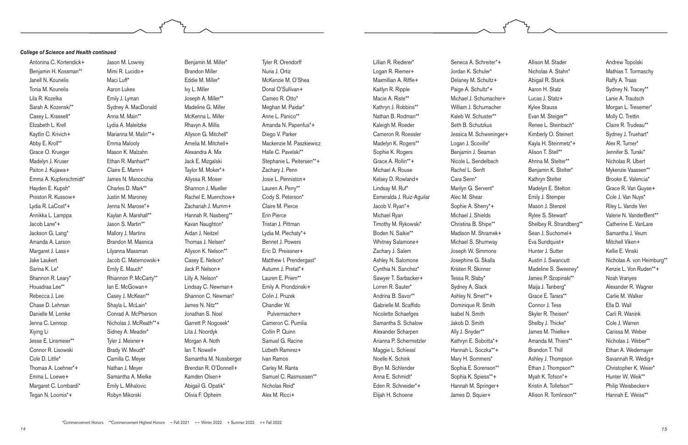Lillian R. Riederer\* Logan R. Riemer+ Maxmillian A. Riffle+ Kaitlyn R. Ripple Macie A. Riste\*\* Kathryn J. Robbins\*\* Nathan B. Rodman\*\* Kaleigh M. Roeder Cameron R. Roessler Madelyn K. Rogers\*\* Sophie K. Rogers Grace A. Rollin\*\*+ Michael A. Rouse Kelsey D. Rowland+ Lindsay M. Ruf\* Esmeralda J. Ruiz-Aguilar Jacob V. Ryan\*+ Michael Ryan Timothy M. Rykowski\* Boden N. Saikie\*\* Whitney Salamone+ Zachary J. Salem Ashley N. Salomone Cynthia N. Sanchez\* Sawyer T. Sarbacker+ Lorren R. Sauter\* Andrina B. Savor\*\* Gabrielle M. Scaffido Nicolette Schaefges Samantha S. Schalow Alexander Scharpen Arianna P. Schermetzler Maggie L. Schiessl Noelle K. Schink Bryn M. Schlender Anna E. Schmidt\* Eden R. Schneider\*+ Elijah H. Schoene

Seneca A. Schreiter\*+ Jordan K. Schuler\* Delaney M. Schultz+ Paige A. Schultz\*+ Michael J. Schumacher+ William J. Schumacher Kaleb W. Schuster\*\* Seth B. Schutzkus Jessica M. Schweninger+ Logan J. Scoville\* Benjamin J. Seaman Nicole L. Sendelbach Rachel L. Senft Cara Senn\* Marilyn G. Servent\* Alec M. Shear Sophie A. Sherry\*+ Michael J. Shields Christina B. Shipe\*\* Madison M. Shramek+ Michael S. Shumway Joseph W. Simmons Josephine G. Skalla Kristen R. Skinner Tessa R. Slaby\* Sydney A. Slack Ashley N. Smet\*\*+ Dominique R. Smith Isabel N. Smith Jakob D. Smith Ally J. Snyder\*\* Kathryn E. Sobotta\*+ Hannah L. Soczka\*\*+ Mary H. Sommers\* Sophia E. Sorenson\*\* Sophia K. Spiess\*\*+ Hannah M. Springer+ James D. Squier+

Allison M. Stader Nicholas A. Stahn\* Abigail R. Stank Aaron H. Statz Lucas J. Statz+ Kylee Stauss Evan M. Steiger\*\* Renee L. Steinbach\* Kimberly O. Steinert Kayla H. Steinmetz\*+ Alison T. Stell\*\* Ahnna M. Stelter\*\* Benjamin K. Stelter\* Kathryn Stelter Madelyn E. Stelton Emily J. Stemper Mason J. Stenzel Rylee S. Stewart\* Shelbey R. Strandberg\*\* Sean J. Suchomel+ Eva Sundquist+ Hunter J. Sutter Austin J. Swancutt Madeline S. Sweeney\* James P. Szopinski\*\* Maija J. Tanberg\* Grace E. Tarara\*\* Connor J. Tess Skyler R. Theisen\* Shelby J. Thicke\* James M. Thielke+ Amanda M. Thiers\*\* Brandon T. Thill Ashley J. Thompson Ethan J. Thompson\*\* Myah K. Tofson\*+ Kristin A. Tollefson\*\* Allison R. Tomlinson\*\*

Andrew Topolski Mathias T. Tormaschy Raffy A. Traas Sydney N. Tracey\*\* Lanie A. Trautsch Morgan L. Tresemer\* Molly C. Trettin Claire R. Trudeau\*\* Sydney J. Truehart\* Alex R. Turner\* Jennifer S. Turski\* Nicholas R. Ubert Mykenzie Vaassen\*\* Brooke E. Valencia\* Grace R. Van Guyse+ Cole J. Van Nuys\* Riley L. Vande Ven Valerie N. VanderBent\*\* Catherine E. VanLare Samantha J. Veum Mitchell Viken+ Kellie E. Vinski Nicholas A. von Heimburg\*\* Kenzie L. Von Ruden\*\*+ Noah Vranyes Alexander R. Wagner Carlie M. Walker Ella D. Wall Carli R. Wanink Cole J. Warren Carissa M. Weber Nicholas J. Weber\*\* Ethan A. Wedemayer Savannah R. Wedig+ Christopher K. Weier\* Hunter W. Weik\*\* Philip Weisbecker+ Hannah E. Weiss\*\*

Antonina C. Kortendick+ Benjamin H. Kossman\*\* Janell N. Kounelis Tonia M. Kounelis Lila R. Kozelka Sarah A. Kozenski\*\* Casey L. Krasselt\* Elizabeth L. Krell Kaytlin C. Krivich+ Abby E. Kroll\*\* Grace O. Krueger Madelyn J. Kruser Paiton J. Kujawa+ Emma A. Kupferschmidt\* Hayden E. Kupsh\* Preston R. Kussow+ Lydia R. LaCost\*+ Annikka L. Lamppa Jacob Lane\*+ Jackson G. Lang\* Amanda A. Larson Margaret J. Lass+ Jake Laukert Sarina K. Le\* Shannon R. Leary\* Houadraa Lee\*\* Rebecca J. Lee Chase D. Lehman Danielle M. Lemke Jenna C. Lennop Xiying Li Jesse E. Linsmeier\*\* Connor R. Lisowski Cole D. Little\* Thomas A. Loehner\*+ Emma L. Loewe+ Margaret C. Lombardi\* Tegan N. Loomis\*+

Jason M. Lowrey Mimi R. Lucido+ Maci Luff\* Aaron Lukes Emily J. Lyman Sydney A. MacDonald Anna M. Main\*\* Lydia A. Maleitzke Marianna M. Malin\*\*+ Emma Malooly Mason K. Malzahn Ethan R. Manhart\*\* Claire E. Mann+ James N. Manocchia Charles D. Mark\*\* Justin M. Maroney Jenna N. Marose\*+ Kaylan A. Marshall\*\* Jason S. Martin\*\* Mallory J. Martins Brandon M. Masnica Lilyanna Massman Jacob C. Maternowski+ Emily E. Mauch\* Rhiannon P. McCarty\*\* Ian E. McGowan+ Casey J. McKean\*\* Shayla L. McLain\* Conrad A. McPherson Nicholas J. McReath\*\*+ Sidney A. Meader\* Tyler J. Meixner+ Brady W. Meudt\* Camilla C. Meyer Nathan J. Meyer Samantha A. Mielke Emily L. Mihalovic Robyn Mikorski

Benjamin M. Miller\* Brandon Miller Eddie M. Miller\* Ivy L. Miller Joseph A. Miller\*\* Madeline G. Miller McKenna L. Miller Rhavyn A. Millis Allyson G. Mitchell\* Amelia M. Mitchell+ Alexandra A. Mix Jack E. Mizgalski Taylor M. Moker\*+ Allyssa R. Moser Shannon J. Mueller Rachel E. Muenchow+ Zachariah J. Mumm+ Hannah R. Nasberg\*\* Kavan Naughton\* Aidan J. Neitzel Thomas J. Nelsen\* Allyson K. Nelson\*\* Casey E. Nelson\* Jack P. Nelson+ Lilly A. Nelson\* Lindsay C. Newman+ Shannon C. Newman\* James N. Nitz\*\* Jonathan S. Noel Garrett P. Nogosek\* Lita J. Noordyk Morgan A. Noth lan T. Nowell+ Samantha M. Nussberger Brendan R. O'Donnell+ Kamden Olsen+ Abigail G. Opatik\* Olivia F. Opheim

Tyler R. Orendorff Nuria J. Ortiz McKenzie M. O'Shea Donal O'Sullivan+ Cameo R. Otto\* Meghan M. Paidar\* Anne L. Panico\*\* Amanda N. Papenfus\*+ Diego V. Parker Mackenzie M. Paszkiewicz Halle C. Pavelski\*\* Stephanie L. Peitersen\*\*+ Zachary J. Penn Josie L. Penniston+ Lauren A. Perry\*\* Cody S. Peterson\* Claire M. Pierce Erin Pierce Tristan J. Pittman Lydia M. Plechaty\*+ Bennet J. Powers Eric D. Preissner+ Matthew I. Prendergast\* Autumn J. Pretat\*+ Lauren E. Priem\*\* Emily A. Prondzinski+ Colin J. Pruzek Chandler W. Pulvermacher+ Cameron C. Pumilia Collin P. Quinn Samuel G. Racine Lizbeth Ramirez+ Ivan Ramos Carley M. Ranta Samuel C. Rasmussen\*\* Nicholas Reid\* Alex M. Ricci+

#### *College of Science and Health continued*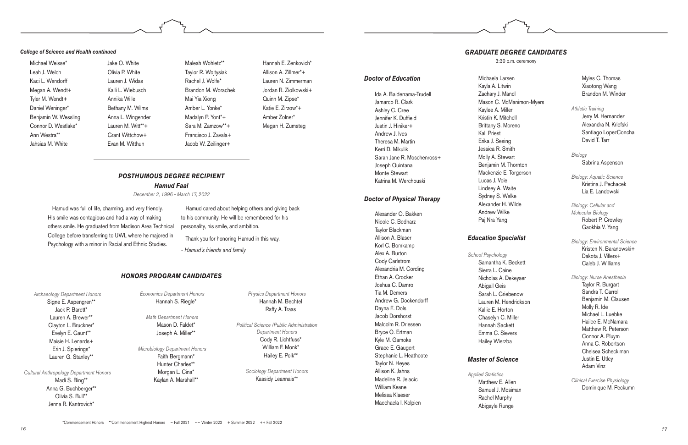Michael Weisse\* Leah J. Welch Kaci L. Wendorff Megan A. Wendt+ Tyler M. Wendt+ Daniel Weninger\* Benjamin W. Wessling Connor D. Westlake\* Ann Westra\*\* Jahsias M. White

Jake O. White

Olivia P. White Lauren J. Widas Kalli L. Wiebusch Annika Wille Bethany M. Wilms Anna L. Wingender Lauren M. Witt\*\*+ Grant Wittchow+ Evan M. Witthun

Maleah Wohletz\*\* Taylor R. Wojtysiak Rachel J. Wolfe\* Brandon M. Worachek Mai Yia Xiong Amber L. Yonke\* Madalyn P. Yont\*+ Sara M. Zamzow\*\*+ Francisco J. Zavala+ Jacob W. Zeilinger+

Hannah E. Zenkovich\* Allison A. Zillmer\*+ Lauren N. Zimmerman Jordan R. Ziolkowski+ Quinn M. Zipse\* Katie E. Zirzow\*+ Amber Zolner\* Megan H. Zumsteg

#### *College of Science and Health continued*

#### *HONORS PROGRAM CANDIDATES*

*Archaeology Department Honors* Signe E. Aspengren\*\*

Jack P. Barett\* Lauren A. Brewer\*\* Clayton L. Bruckner\* Evelyn E. Gaunt\*\* Maisie H. Lenards+ Erin J. Spierings\* Lauren G. Stanley\*\*

*Cultural Anthropology Department Honors* Madi S. Bing\*\* Anna G. Buchberger\*\* Olivia S. Bull\*\* Jenna R. Kantrovich\*

*Economics Department Honors* Hannah S. Riegle\*

*Math Department Honors* Mason D. Faldet\* Joseph A. Miller\*\*

*Microbiology Department Honors*  Faith Bergmann\* Hunter Charles\*\* Morgan L. Cina\* Kaylan A. Marshall\*\*

*Physics Department Honors* Hannah M. Bechtel Raffy A. Traas

*Political Science /Public Administration Department Honors* Cody R. Lichtfuss\* William F. Monk\* Hailey E. Polk\*\*

*Sociology Department Honors* Kassidy Leannais\*\*

*Doctor of Education*

Ida A. Balderrama-Trudell Jamarco R. Clark Ashley C. Cree Jennifer K. Duffield Justin J. Hiniker+ Andrew J. Ives Theresa M. Martin Kerri D. Mikulik Sarah Jane R. Moschenross+ Joseph Quintana Monte Stewart Katrina M. Werchouski

## *Doctor of Physical Therapy*

Alexander O. Bakken Nicole C. Bednarz Taylor Blackman Allison A. Blaser Korl C. Bomkamp Alex A. Burton Cody Carlstrom Alexandria M. Cording Ethan A. Crocker Joshua C. Damro Tia M. Demers Andrew G. Dockendorff Dayna E. Dols Jacob Dorshorst Malcolm R. Driessen Bryce O. Ertman Kyle M. Gamoke Grace E. Gaugert Stephanie L. Heathcote Taylor N. Heyes Allison K. Jahns Madeline R. Jelacic William Keane Melissa Klaeser Maechaela I. Kolpien

Michaela Larsen Kayla A. Litwin Zachary J. Mancl Mason C. McManimon-Myers Kaylee A. Miller Kristin K. Mitchell Brittany S. Moreno Kali Priest Erika J. Sesing Jessica R. Smith Molly A. Stewart Benjamin M. Thornton Mackenzie E. Torgerson Lucas J. Voie Lindsey A. Waite Sydney S. Welke Alexander H. Wilde Andrew Wilke Paj Nra Yang

#### *Education Specialist*

*School Psychology* Samantha K. Beckett Sierra L. Caine Nicholas A. Dekeyser Abigail Geis Sarah L. Griebenow Lauren M. Hendrickson Kallie E. Horton Chaselyn C. Miller Hannah Sackett Emma C. Sievers Hailey Wierzba

## *Master of Science*

*Applied Statistics* Matthew E. Allen Samuel J. Mosiman Rachel Murphy Abigayle Runge

Myles C. Thomas Xiaotong Wang Brandon M. Winder

*Athletic Training* Jerry M. Hernandez Alexandra N. Kriefski Santiago LopezConcha David T. Tarr

*Biology* Sabrina Aspenson

*Biology: Aquatic Science*  Kristina J. Pechacek Lia E. Landowski

*Biology: Cellular and Molecular Biology*  Robert P. Crowley Gaokhia V. Yang

*Biology: Environmental Science* 

Kristen N. Baranowski+ Dakota J. Villers+ Caleb J. Williams

#### *Biology: Nurse Anesthesia*

Taylor R. Burgart Sandra T. Carroll Benjamin M. Clausen Molly R. Ide Michael L. Luebke Hailee E. McNamara Matthew R. Peterson Connor A. Pluym Anna C. Robertson Chelsea Schecklman Justin E. Utley Adam Vinz

*Clinical Exercise Physiology* Dominique M. Peckumn

## *GRADUATE DEGREE CANDIDATES*

3:30 p.m. ceremony

Hamud was full of life, charming, and very friendly. His smile was contagious and had a way of making others smile. He graduated from Madison Area Technical College before transferring to UWL where he majored in Psychology with a minor in Racial and Ethnic Studies.

Hamud cared about helping others and giving back to his community. He will be remembered for his personality, his smile, and ambition.

Thank you for honoring Hamud in this way.

*- Hamud's friends and family*

#### *POSTHUMOUS DEGREE RECIPIENT Hamud Faal*

*December 2, 1996 - March 17, 2022*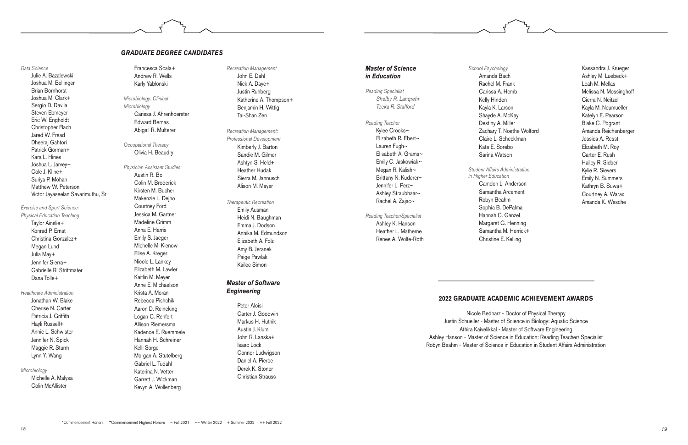#### *Data Science*

Julie A. Bazalewski Joshua M. Bellinger Brian Bornhorst Joshua M. Clark+ Sergio D. Davila Steven Ebmeyer Eric W. Engholdt Christopher Flach Jared W. Fread Dheeraj Gahtori Patrick Gorman+ Kara L. Hines Joshua L. Jarvey+ Cole J. Kline+ Suriya P. Mohan Matthew W. Peterson Victor Jayaseelan Savarimuthu, Sr

*Exercise and Sport Science: Physical Education Teaching* Taylor Ainslie+ Konrad P. Ernst Christina Gonzalez+ Megan Lund Julia May+ Jennifer Sierra+ Gabrielle R. Strittmater Dana Tolle+

#### *Healthcare Administration*

Jonathan W. Blake Cherise N. Carter Patricia J. Griffith Hayli Russell+ Annie L. Schwister Jennifer N. Spick Maggie R. Sturm Lynn Y. Wang

#### *Microbiology*

Michelle A. Malysa Colin McAllister

Francesca Scala+ Andrew R. Wells Karly Yablonski

*Microbiology: Clinical Microbiology* Carissa J. Ahrenhoerster Edward Bernas Abigail R. Multerer

*Occupational Therapy* Olivia H. Beaudry

## *Physician Assistant Studies* Austin R. Bol Colin M. Broderick Kirsten M. Bucher

Makenzie L. Dejno Courtney Ford Jessica M. Gartner Madeline Grimm Anna E. Harris Emily S. Jaeger Michelle M. Kienow Elise A. Kreger Nicole L. Lankey Elizabeth M. Lawler Kaitlin M. Meyer Anne E. Michaelson Krista A. Moran Rebecca Pishchik Aaron D. Reineking Logan C. Renfert Allison Riemersma Kadence E. Ruemmele Hannah H. Schreiner Kelli Sorge Morgan A. Stutelberg Gabriel L. Tudahl Katerina N. Vetter Garrett J. Wickman Kevyn A. Wollenberg

*Recreation Management* John E. Dahl Nick A. Daye+ Justin Ruhberg Katherine A. Thompson+ Benjamin H. Wittig Tai-Shan Zen

*Recreation Management: Professional Development* Kimberly J. Barton Sandie M. Gilmer Ashtyn S. Held+ Heather Hudak Sierra M. Jannusch Alison M. Mayer

#### *Therapeutic Recreation* Emily Ausman Heidi N. Baughman Emma J. Dodson Annika M. Edmundson Elizabeth A. Folz Amy B. Jeranek Paige Pawlak Kailee Simon

#### *Master of Software Engineering*

Peter Aloisi Carter J. Goodwin Markus H. Hutnik Austin J. Klum John R. Lanska+ Isaac Lock Connor Ludwigson Daniel A. Pierce Derek K. Stoner Christian Strauss

#### *GRADUATE DEGREE CANDIDATES*

#### *Master of Science in Education*

*Reading Specialist Shelby R. Langrehr Teeka R. Stafford*

*Reading Teacher*  Kylee Crooks~ Elizabeth R. Ebert~ Lauren Fugh~ Elisabeth A. Grams~ Emily C. Jaskowiak~ Megan R. Kalish~ Brittany N. Kuderer~ Jennifer L. Perz~ Ashley Straubhaar~ Rachel A. Zajac~

*Reading Teacher/Specialist*  Ashley K. Hanson Heather L. Matherne Renee A. Wolfe-Roth

## *School Psychology*  Amanda Bach Rachel M. Frank Carissa A. Hemb Kelly Hinden Kayla K. Larson Shayde A. McKay Destiny A. Miller Claire L. Schecklman Kate E. Sorebo Sarina Watson

Zachary T. Noethe Wolford

- 
- 
- 

*Student Affairs Administration in Higher Education* 

Camdon L. Anderson

Samantha Arcement Robyn Beahm Sophia B. DePalma Hannah C. Ganzel Margaret G. Henning Samantha M. Herrick+ Christine E. Kelling

Kassandra J. Krueger Ashley M. Luebeck+ Leah M. Mellas Melissa N. Mossinghoff Cierra N. Neitzel Kayla M. Neumueller Katelyn E. Pearson Blake C. Pogrant Amanda Reichenberger Jessica A. Resst Elizabeth M. Roy Carter E. Rush Hailey R. Sieber Kylie R. Sievers Emily N. Summers Kathryn B. Suwa+ Courtney A. Warax Amanda K. Wesche

## **2022 GRADUATE ACADEMIC ACHIEVEMENT AWARDS**

- 
- 
- 
- 

Nicole Bednarz - Doctor of Physical Therapy Justin Schueller - Master of Science in Biology: Aquatic Science Athira Kaivelikkal - Master of Software Engineering Ashley Hanson - Master of Science in Education: Reading Teacher/ Specialist Robyn Beahm - Master of Science in Education in Student Affairs Administration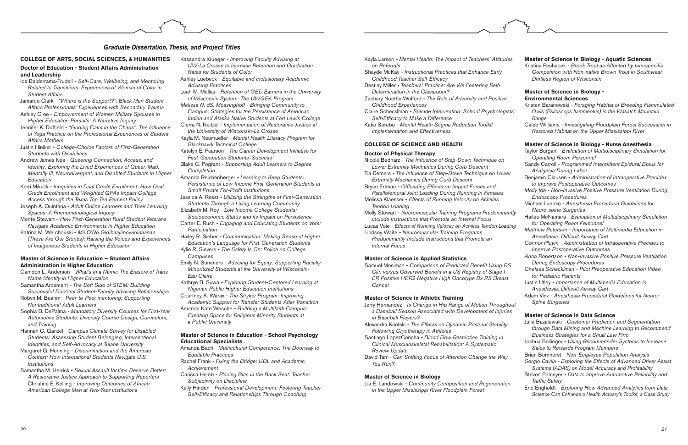- Kayla Larson Mental Health: The Impact of Teachers' Attitu *on Referrals*
- Shayde McKay *Instructional Practices that Enhance Early*  Childhood Teacher Self-Efficacy
- Destiny Miller  *Teachers' Practice: Are We Fostering Self-Determination in the Classroom?*
- Zachary Noethe Wolford *The Role of Adversity and Positive Childhood Experiences*
- Claire Schecklman Suicide Intervention: School Psycholog Self-Efficacy to Make a Difference
- Katie Sorebo *Mental Health Stigma Reduction Toolkit Implementation and Effectiveness*

#### **COLLEGE OF SCIENCE AND HEALTH**

#### **Doctor of Physical Therapy**

Samuel Mosiman - Comparison of Predicted Benefit Using Clin versus Observed Benefit in a US Registry of Stage *ER Positive HER2 Negative High Oncotype Dx RS Breast Cancer*

- Nicole Bednarz The Influence of Step-Down Technique on *Lower Extremity Mechanics During Curb Descent*
- Tia Demers The Influence of Step-Down Technique on Low *Extremity Mechanics During Curb Descent*
- Bryce Ertman Offloading Effects on Impact Forces and *Patellofemoral Joint Loading During Running in Females*
- Melissa Klaesser *Effects of Running Velocity on Achilles Tendon Loading*
- Molly Stewart Neuromuscular Training Programs Predomin *Include Instructions that Promote an Internal Focus*
- Lucas Voie Effects of Running Velocity on Achilles Tendon Loa Lindsey Waite *- Neuromuscular Training Programs*
- *Predominantly Include Instructions that Promote an Internal Focus*

- Jerry Hernandez Is Change in Hip Range of Motion Through a Baseball Season Associated with Development of Injur *in Baseball Players?*
- Alexandra Kriefski  *The Effects on Dynamic Postural Stability Following Cryotherapy in Athletes*
- Santiago LopezConcha *Blood Flow Restriction Training in Clinical Musculoskeletal Rehabilitation: A Systematic Review Update*
- David Tarr Can Shifting Focus of Attention Change the Wa *You Run?*

Lia E. Landowski - Community Composition and Regeneration *in the Upper Mississippi River Floodplain Forest*

#### **Master of Science in Applied Statistics**

#### **Master of Science in Athletic Training**

#### **Master of Science in Biology**

#### **COLLEGE OF ARTS, SOCIAL SCIENCES, & HUMANITIES**

#### **Doctor of Education - Student Affairs Administration and Leadership**

- Ida Balderrama-Trudell  *Self-Care, Wellbeing, and Mentoring Related to Transitions: Experiences of Womxn of Color in Student Affairs*
- Jamarco Clark *"Where is the Support?": Black Men Student Affairs Professionals' Experiences with Secondary Trauma*
- Ashley Cree *Empowerment of Women Military Spouses in Higher Education Pursuits: A Narrative Inquiry*
- Jennifer K. Duffield "Finding Calm in the Chaos": The Influence *of Yoga Practice on the Professional Experiences of Student Affairs Mothers*
- Justin Hiniker *College-Choice Factors of First-Generation Students with Disabilities.*
- Andrew James Ives *Queering Connection, Access, and Identity: Exploring the Lived Experiences of Queer, Mad, Mentally Ill, Neurodivergent, and Disabled Students in Higher Education*
- Kerri Mikulik *Inequities in Dual Credit Enrollment: How Dual Credit Enrollment and Weighted GPAs Impact College Access through the Texas Top Ten Percent Policy*
- Joseph A. Quintana *Adult Online Learners and Their Learning Spaces: A Phenomenological Inquiry*
- Monte Stewart *How First-Generation Rural Student Veterans Navigate Academic Environments in Higher Education*
- Katrina M. Werchouski *Mii O'No Gidibaajimowininaanan (These Are Our Stories): Raising the Voices and Experiences of Indigenous Students in Higher Education*

#### **Master of Science in Education – Student Affairs Administration in Higher Education**

- Camdon L. Anderson *What's in a Name: The Erasure of Trans Name Identity in Higher Education*
- Samantha Arcement *The Soft Side of STEM: Building Successful Doctoral Student-Faculty Advising Relationships*
- Robyn M. Beahm *Peer-to-Peer mentoring: Supporting Nontraditional Adult Learners*
- Sophia B. DePalma *Mandatory Diversity Courses for First-Year Automotive Students: Diversity Course Design, Curriculum, and Training*
- Hannah C. Ganzel *Campus Climate Survey for Disabled Students: Assessing Student Belonging, Intersectional Identities, and Self-Advocacy at Tulane University*
- Margaret G. Henning *Discrimination and the American Context: How International Students Navigate U.S. Institutions*
- Samantha M. Herrick *Sexual Assault Victims Deserve Better: A Restorative Justice Approach to Supporting Reporters* Christine E. Kelling *- Improving Outcomes of African American College Men at Two-Year Institutions*

#### *Graduate Dissertation, Thesis, and Project Titles*

| des         | <b>Master of Science in Biology - Aquatic Sciences</b><br>Kristina Pechacek - Brook Trout as Affected by Interspecific<br>Competition with Non-native Brown Trout in Southwest<br>Driftless Region of Wisconsin    |
|-------------|--------------------------------------------------------------------------------------------------------------------------------------------------------------------------------------------------------------------|
| е           | <b>Master of Science in Biology -</b><br><b>Environmental Sciences</b>                                                                                                                                             |
| gists'      | Kristen Baranowski - Foraging Habitat of Breeding Flammulated<br>Owls (Psiloscops flammeolus) in the Wasatch Mountain                                                                                              |
|             | Range<br>Caleb Williams - Investigating Floodplain Forest Succession in<br>Restored Habitat on the Upper Mississippi River                                                                                         |
|             | Master of Science in Biology - Nurse Anesthesia<br>Taylor Burgart - Evaluation of Multidisciplinary Simulation for<br><b>Operating Room Personnel</b>                                                              |
| ver         | Sandy Carroll - Programmed Intermittent Epidural Bolus for<br>Analgesia During Labor<br>Benjamin Clausen - Administration of Intraoperative Precidex<br>to Improve Postoperative Outcomes                          |
|             | Molly Ide - Non-Invasive Positive Pressure Ventilation During<br><b>Endoscopy Procedures</b><br>Michael Luebke - Anesthesia Procedural Guidelines for                                                              |
| nantly      | Neuro-spine Surgeries<br>Hailee McNamara - Evaluation of Multidisciplinary Simulation                                                                                                                              |
| ading       | for Operating Room Personnel<br>Matthew Peterson - Importance of Multimedia Education in<br>Anesthesia: Difficult Airway Cart                                                                                      |
|             | Connor Pluym - Administration of Intraoperative Precidex to<br>Improve Postoperative Outcomes                                                                                                                      |
| RS          | Anna Robertson - Non-Invasive Positive Pressure Ventilation<br><b>During Endoscopy Procedures</b>                                                                                                                  |
| I<br>st     | Chelsea ScheckIman - Pilot Preoperative Education Video<br>for Pediatric Patients                                                                                                                                  |
|             | Justin Utley - Importance of Multimedia Education in<br>Anesthesia: Difficult Airway Cart                                                                                                                          |
| <i>hout</i> | Adam Vinz - Anesthesia Procedural Guidelines for Neuro-<br>Spine Surgeries                                                                                                                                         |
| ries        |                                                                                                                                                                                                                    |
| ty          | <b>Master of Science in Data Science</b><br>Julie Bazalewski - Customer Prediction and Segmentation<br>through Data Mining and Machine Learning to Recommend<br>Business Strategies for a Small Law Firm           |
|             | Joshua Bellinger - Using Recommender Systems to Increase<br>Sales to Rewards Program Members                                                                                                                       |
| ìУ          | Brian Bornhorst - Non-Employee Population Analysis<br>Sergio Davila - Exploring the Effects of Advanced Driver Assist<br>Systems (ADAS) on Model Accuracy and Profitability                                        |
| ion         | Steven Ebmeyer - Data to Improve Automotive Reliability and<br><b>Traffic Safety</b><br>Eric Engholdt - Exploring How Advanced Analytics from Data<br>Science Can Enhance a Health Actuary's Toolkit, a Case Study |
|             |                                                                                                                                                                                                                    |

- Kassandra Krueger  *Improving Faculty Advising at UW-La Crosse to Increase Retention and Graduation Rates for Students of Color*
- Ashley Luebeck *Equitable and Inclusionary Academic Advising Practices*
- Leah M. Mellas *Retention of GED Earners in the University of Wisconsin System: The UWGEA Program*
- *Melissa N. dS. Mossinghoff Bringing Community to Campus: Strategies for the Persistence of American Indian and Alaska Native Students at Fort Lewis College*
- Cierra N. Neitzel  *Implementation of Restorative Justice at the University of Wisconsin-La Crosse*
- Kayla M. Neumueller *Mental Health Literacy Program for Blackhawk Technical College*
- Katelyn E. Pearson *The Career Development Initiative for First-Generation Students' Success*
- Blake C. Pogrant *Supporting Adult Learners to Degree Completion*
- Amanda Reichenberger *Learning to Keep Students: Persistence of Low-Income First-Generation Students at*  Small Private For-Profit Institutions
- Jessica A. Resst *Utilizing the Strengths of First-Generation Students Through a Living Learning Community*
- Elizabeth M. Roy *Low Income College Students: Socioeconomic Status and its Impact on Persistence*
- Carter E. Rush *Engaging and Educating Students on Voter Participation*
- Hailey R. Sieber *Communication: Making Sense of Higher Education's Language for First-Generation Students*
- Kylie R. Sievers *The Safety Is On: Police on College Campuses*
- Emily N. Summers  *Advising for Equity: Supporting Racially Minoritized Students at the University of Wisconsin-Eau Claire*
- Kathryn B. Suwa *Exploring Student-Centered Learning at Nigerian Public Higher Education Institutions*
- Courtney A. Warax *The Stryker Program: Improving Academic Support for Transfer Students After Transition*
- Amanda Kate Wesche *Building a Multifaith Campus: Creating Space for Religious Minority Students at a Public University*

#### **Master of Science in Education - School Psychology Educational Specialists**

Amanda Bach *- Multicultural Competence: The Doorway to Equitable Practices*

Rachel Frank *- Fixing the Bridge: UDL and Academic Achievement*

- Carissa Hemb *Placing Bias in the Back Seat: Teacher Subjectivity on Discipline*
- Kelly Hinden *Professional Development: Fostering Teacher*  Self-Efficacy and Relationships Through Coaching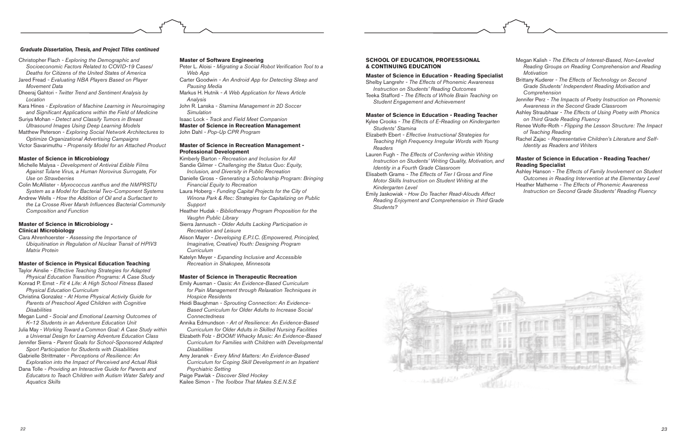Christopher Flach *- Exploring the Demographic and Socioeconomic Factors Related to COVID-19 Cases/ Deaths for Citizens of the United States of America* Jared Fread *- Evaluating NBA Players Based on Player* 

*Movement Data* Dheeraj Gahtori *- Twitter Trend and Sentiment Analysis by* 

*Location*

Kara Hines *- Exploration of Machine Learning in Neuroimaging*  and Significant Applications within the Field of Medicine Suriya Mohan *- Detect and Classify Tumors in Breast* 

*Ultrasound Images Using Deep Learning Models*

Matthew Peterson *- Exploring Social Network Architectures to Optimize Organizational Advertising Campaigns*

Victor Savarimuthu *- Propensity Model for an Attached Product*

#### **Master of Science in Microbiology**

Michelle Malysa *- Development of Antiviral Edible Films Against Tulane Virus, a Human Norovirus Surrogate, For Use on Strawberries*

Colin McAllister *- Myxococcus xanthus and the NMPRSTU System as a Model for Bacterial Two-Component Systems*

Andrew Wells *- How the Addition of Oil and a Surfactant to*  the La Crosse River Marsh Influences Bacterial Community *Composition and Function*

#### **Master of Science in Microbiology - Clinical Microbiology**

Cara Ahrenhoerster *- Assessing the Importance of Ubiquitination in Regulation of Nuclear Transit of HPIV3 Matrix Protein*

#### **Master of Science in Physical Education Teaching**

Taylor Ainslie *- Effective Teaching Strategies for Adapted Physical Education Transition Programs: A Case Study* Konrad P. Ernst *- Fit 4 Life: A High School Fitness Based* 

*Physical Education Curriculum* Christina Gonzalez *- At Home Physical Activity Guide for Parents of Preschool Aged Children with Cognitive* 

*Disabilities*

Megan Lund *- Social and Emotional Learning Outcomes of K–12 Students in an Adventure Education Unit*

Julia May *- Working Toward a Common Goal: A Case Study within a Universal Design for Learning Adventure Education Class*

Jennifer Sierra *- Parent Goals for School-Sponsored Adapted Sport Participation for Students with Disabilities*

Gabrielle Strittmater *- Perceptions of Resilience: An Exploration into the Impact of Perceived and Actual Risk*

Dana Tolle *- Providing an Interactive Guide for Parents and Educators to Teach Children with Autism Water Safety and Aquatics Skills*

#### **Master of Software Engineering**

Peter L. Aloisi - Migrating a Social Robot Verification Tool to a *Web App*

Carter Goodwin *- An Android App for Detecting Sleep and Pausing Media*

Markus H. Hutnik *- A Web Application for News Article Analysis*

John R. Lanska *- Stamina Management in 2D Soccer Simulation*

Isaac Lock *- Track and Field Meet Companion*

**Master of Science in Recreation Management**

John Dahl *- Pop-Up CPR Program*

#### **Master of Science in Recreation Management - Professional Development**

Kimberly Barton *- Recreation and Inclusion for All* 

Sandie Gilmer *- Challenging the Status Quo: Equity, Inclusion, and Diversity in Public Recreation*

Danielle Gross *- Generating a Scholarship Program: Bringing Financial Equity to Recreation*

Laura Hoberg *- Funding Capital Projects for the City of Winona Park & Rec: Strategies for Capitalizing on Public Support* 

Heather Hudak *- Bibliotherapy Program Proposition for the Vaughn Public Library*

Sierra Jannusch *- Older Adults Lacking Participation in Recreation and Leisure* 

Alison Mayer *- Developing E.P.I.C. (Empowered, Principled, Imaginative, Creative) Youth: Designing Program Curriculum*

Katelyn Meyer *- Expanding Inclusive and Accessible Recreation in Shakopee, Minnesota*

#### **Master of Science in Therapeutic Recreation**

Emily Ausman *- Oasis: An Evidence-Based Curriculum for Pain Management through Relaxation Techniques in Hospice Residents*

Heidi Baughman *- Sprouting Connection: An Evidence-Based Curriculum for Older Adults to Increase Social Connectedness* 

Annika Edmundson *- Art of Resilience: An Evidence-Based Curriculum for Older Adults in Skilled Nursing Facilities*

Elizabeth Folz *- BOOM! Whacky Music: An Evidence-Based Curriculum for Families with Children with Developmental Disabilities* 

Amy Jeranek *- Every Mind Matters: An Evidence-Based Curriculum for Coping Skill Development in an Inpatient Psychiatric Setting*

Paige Pawlak *- Discover Sled Hockey*

Kailee Simon *- The Toolbox That Makes S.E.N.S.E*

#### *Graduate Dissertation, Thesis, and Project Titles continued*

#### **SCHOOL OF EDUCATION, PROFESSIONAL & CONTINUING EDUCATION**

#### **Master of Science in Education - Reading Specialist**

Shelby Langrehr *- The Effects of Phonemic Awareness Instruction on Students' Reading Outcomes*

Teeka Stafford *- The Effects of Whole Brain Teaching on Student Engagement and Achievement*

#### **Master of Science in Education - Reading Teacher**

Kylee Crooks *- The Effects of E-Reading on Kindergarten Students' Stamina*

Elizabeth Ebert *- Effective Instructional Strategies for Teaching High Frequency Irregular Words with Young Readers*

Lauren Fugh *- The Effects of Conferring within Writing Instruction on Students' Writing Quality, Motivation, and Identity in a Fourth Grade Classroom*

Elisabeth Grams *- The Effects of Tier I Gross and Fine Motor Skills Instruction on Student Writing at the Kindergarten Level*

Emily Jaskowiak *- How Do Teacher Read-Alouds Affect Reading Enjoyment and Comprehension in Third Grade Students?*



- Megan Kalish *The Effects of Interest-Based, Non-Leveled Reading Groups on Reading Comprehension and Reading Motivation*
- Brittany Kuderer *The Effects of Technology on Second Grade Students' Independent Reading Motivation and Comprehension*
- Jennifer Perz *The Impacts of Poetry Instruction on Phonemic Awareness in the Second Grade Classroom*
- Ashley Straubhaar *The Effects of Using Poetry with Phonics on Third Grade Reading Fluency*
- Renee Wolfe-Roth *Flipping the Lesson Structure: The Impact of Teaching Reading*
- Rachel Zajac *Representative Children's Literature and Self-Identity as Readers and Writers*

#### **Master of Science in Education - Reading Teacher/ Reading Specialist**

Ashley Hanson *- The Effects of Family Involvement on Student Outcomes in Reading Intervention at the Elementary Level* Heather Matherne *- The Effects of Phonemic Awareness* 

*Instruction on Second Grade Students' Reading Fluency*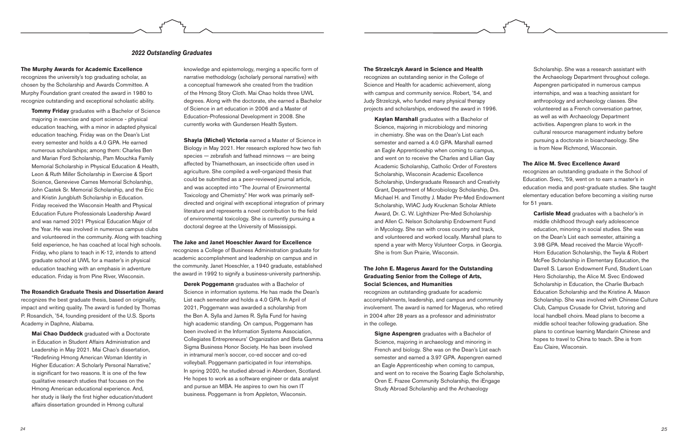#### **The Murphy Awards for Academic Excellence**

recognizes the university's top graduating scholar, as chosen by the Scholarship and Awards Committee. A Murphy Foundation grant created the award in 1980 to recognize outstanding and exceptional scholastic ability.

**Tommy Friday** graduates with a Bachelor of Science majoring in exercise and sport science - physical education teaching, with a minor in adapted physical education teaching. Friday was on the Dean's List every semester and holds a 4.0 GPA. He earned numerous scholarships; among them: Charles Ben and Marian Ford Scholarship, Pam Mouchka Family Memorial Scholarship in Physical Education & Health, Leon & Ruth Miller Scholarship in Exercise & Sport Science, Genevieve Carnes Memorial Scholarship, John Castek Sr. Memorial Scholarship, and the Eric and Kristin Jungbluth Scholarship in Education. Friday received the Wisconsin Health and Physical Education Future Professionals Leadership Award and was named 2021 Physical Education Major of the Year. He was involved in numerous campus clubs and volunteered in the community. Along with teaching field experience, he has coached at local high schools. Friday, who plans to teach in K-12, intends to attend graduate school at UWL for a master's in physical education teaching with an emphasis in adventure education. Friday is from Pine River, Wisconsin.

#### **The Rosandich Graduate Thesis and Dissertation Award**

recognizes the best graduate thesis, based on originality, impact and writing quality. The award is funded by Thomas P. Rosandich, '54, founding president of the U.S. Sports Academy in Daphne, Alabama.

**Mai Chao Duddeck** graduated with a Doctorate in Education in Student Affairs Administration and Leadership in May 2021. Mai Chao's dissertation, "Redefining Hmong American Woman Identity in Higher Education: A Scholarly Personal Narrative," is significant for two reasons. It is one of the few qualitative research studies that focuses on the Hmong American educational experience. And, her study is likely the first higher education/student affairs dissertation grounded in Hmong cultural

knowledge and epistemology, merging a specific form of narrative methodology (scholarly personal narrative) with a conceptual framework she created from the tradition of the Hmong Story Cloth. Mai Chao holds three UWL degrees. Along with the doctorate, she earned a Bachelor of Science in art education in 2006 and a Master of Education-Professional Development in 2008. She currently works with Gundersen Health System.

**Shayla (Michel) Victoria** earned a Master of Science in Biology in May 2021. Her research explored how two fish species — zebrafish and fathead minnows — are being affected by Thiamethoxam, an insecticide often used in agriculture. She compiled a well-organized thesis that could be submitted as a peer-reviewed journal article, and was accepted into "The Journal of Environmental Toxicology and Chemistry." Her work was primarily selfdirected and original with exceptional integration of primary literature and represents a novel contribution to the field of environmental toxicology. She is currently pursuing a doctoral degree at the University of Mississippi.

#### **The Jake and Janet Hoeschler Award for Excellence**

recognizes a College of Business Administration graduate for academic accomplishment and leadership on campus and in the community. Janet Hoeschler, a 1940 graduate, established the award in 1992 to signify a business-university partnership.

**Derek Poggemann** graduates with a Bachelor of Science in information systems. He has made the Dean's List each semester and holds a 4.0 GPA. In April of 2021, Poggemann was awarded a scholarship from the Ben A. Sylla and James R. Sylla Fund for having high academic standing. On campus, Poggemann has been involved in the Information Systems Association, Collegiates Entrepreneurs' Organization and Beta Gamma Sigma Business Honor Society. He has been involved in intramural men's soccer, co-ed soccer and co-ed volleyball. Poggemann participated in four internships. In spring 2020, he studied abroad in Aberdeen, Scotland. He hopes to work as a software engineer or data analyst and pursue an MBA. He aspires to own his own IT business. Poggemann is from Appleton, Wisconsin.

#### **The Strzelczyk Award in Science and Health** recognizes an outstanding senior in the College of Science and Health for academic achievement, along with campus and community service. Robert, '54, and Judy Strzelczyk, who funded many physical therapy projects and scholarships, endowed the award in 1996.

**Kaylan Marshall** graduates with a Bachelor of Science, majoring in microbiology and minoring in chemistry. She was on the Dean's List each semester and earned a 4.0 GPA. Marshall earned an Eagle Apprenticeship when coming to campus, and went on to receive the Charles and Lillian Gay Academic Scholarship, Catholic Order of Foresters Scholarship, Wisconsin Academic Excellence Scholarship, Undergraduate Research and Creativity Grant, Department of Microbiology Scholarship, Drs. Michael H. and Timothy J. Mader Pre-Med Endowment Scholarship, WIAC Judy Kruckman Scholar Athlete Award, Dr. C. W. Lighthizer Pre-Med Scholarship and Allen C. Nelson Scholarship Endowment Fund in Mycology. She ran with cross country and track, and volunteered and worked locally. Marshall plans to spend a year with Mercy Volunteer Corps. in Georgia. She is from Sun Prairie, Wisconsin.

#### **The John E. Magerus Award for the Outstanding Graduating Senior from the College of Arts, Social Sciences, and Humanities**

recognizes an outstanding graduate for academic accomplishments, leadership, and campus and community involvement. The award is named for Magerus, who retired in 2004 after 28 years as a professor and administrator in the college.

**Signe Aspengren** graduates with a Bachelor of Science, majoring in archaeology and minoring in French and biology. She was on the Dean's List each semester and earned a 3.97 GPA. Aspengren earned an Eagle Apprenticeship when coming to campus, and went on to receive the Soaring Eagle Scholarship, Oren E. Frazee Community Scholarship, the iEngage Study Abroad Scholarship and the Archaeology

Scholarship. She was a research assistant with the Archaeology Department throughout college. Aspengren participated in numerous campus internships, and was a teaching assistant for anthropology and archaeology classes. She volunteered as a French conversation partner, as well as with Archaeology Department activities. Aspengren plans to work in the cultural resource management industry before pursuing a doctorate in bioarchaeology. She is from New Richmond, Wisconsin.

#### **The Alice M. Svec Excellence Award**

recognizes an outstanding graduate in the School of Education. Svec, '59, went on to earn a master's in education media and post-graduate studies. She taught elementary education before becoming a visiting nurse for 51 years.

**Carlisle Mead** graduates with a bachelor's in middle childhood through early adolescence education, minoring in social studies. She was on the Dean's List each semester, attaining a 3.98 GPA. Mead received the Marcie Wycoff-Horn Education Scholarship, the Twyla & Robert McFee Scholarship in Elementary Education, the Darrell S. Larson Endowment Fund, Student Loan Hero Scholarship, the Alice M. Svec Endowed Scholarship in Education, the Charlie Burbach Education Scholarship and the Kristine A. Mason Scholarship. She was involved with Chinese Culture Club, Campus Crusade for Christ, tutoring and local handbell choirs. Mead plans to become a middle school teacher following graduation. She plans to continue learning Mandarin Chinese and hopes to travel to China to teach. She is from Eau Claire, Wisconsin.

#### *2022 Outstanding Graduates*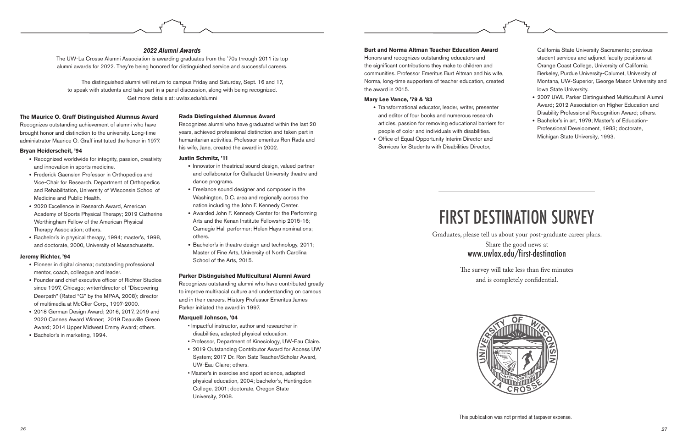This publication was not printed at taxpayer expense.

# FIRST DESTINATION SURVEY

Graduates, please tell us about your post-graduate career plans. Share the good news at www.uwlax.edu/first-destination



The survey will take less than five minutes and is completely confidential.

#### **The Maurice O. Graff Distinguished Alumnus Award**

Recognizes outstanding achievement of alumni who have brought honor and distinction to the university. Long-time administrator Maurice O. Graff instituted the honor in 1977.

#### **Bryan Heiderscheit, '94**

- Recognized worldwide for integrity, passion, creativity and innovation in sports medicine.
- Frederick Gaenslen Professor in Orthopedics and Vice-Chair for Research, Department of Orthopedics and Rehabilitation, University of Wisconsin School of Medicine and Public Health.
- 2020 Excellence in Research Award, American Academy of Sports Physical Therapy; 2019 Catherine Worthingham Fellow of the American Physical Therapy Association; others.
- Bachelor's in physical therapy, 1994; master's, 1998, and doctorate, 2000, University of Massachusetts.

#### **Jeremy Richter, '94**

- Pioneer in digital cinema; outstanding professional mentor, coach, colleague and leader.
- Founder and chief executive officer of Richter Studios since 1997, Chicago; writer/director of "Discovering Deerpath" (Rated "G" by the MPAA, 2008); director of multimedia at McClier Corp., 1997-2000.
- 2018 German Design Award; 2016, 2017, 2019 and 2020 Cannes Award Winner; 2019 Deauville Green Award; 2014 Upper Midwest Emmy Award; others.
- Bachelor's in marketing, 1994.

#### **Burt and Norma Altman Teacher Education Award**

Honors and recognizes outstanding educators and the significant contributions they make to children and communities. Professor Emeritus Burt Altman and his wife, Norma, long-time supporters of teacher education, created the award in 2015.

#### **Mary Lee Vance, '79 & '83**

- Transformational educator, leader, writer, presenter and editor of four books and numerous research articles, passion for removing educational barriers for people of color and individuals with disabilities.
- Office of Equal Opportunity Interim Director and Services for Students with Disabilities Director,

#### **Rada Distinguished Alumnus Award**

Recognizes alumni who have graduated within the last 20 years, achieved professional distinction and taken part in humanitarian activities. Professor emeritus Ron Rada and his wife, Jane, created the award in 2002.

#### **Justin Schmitz, '11**

- Innovator in theatrical sound design, valued partner and collaborator for Gallaudet University theatre and dance programs.
- Freelance sound designer and composer in the Washington, D.C. area and regionally across the nation including the John F. Kennedy Center.
- Awarded John F. Kennedy Center for the Performing Arts and the Kenan Institute Fellowship 2015-16; Carnegie Hall performer; Helen Hays nominations; others.
- Bachelor's in theatre design and technology, 2011; Master of Fine Arts, University of North Carolina School of the Arts, 2015.

#### **Parker Distinguished Multicultural Alumni Award**

Recognizes outstanding alumni who have contributed greatly to improve multiracial culture and understanding on campus and in their careers. History Professor Emeritus James Parker initiated the award in 1997.

#### **Marquell Johnson, '04**

- Impactful instructor, author and researcher in disabilities, adapted physical education.
- Professor, Department of Kinesiology, UW-Eau Claire.
- 2019 Outstanding Contributor Award for Access UW System; 2017 Dr. Ron Satz Teacher/Scholar Award, UW-Eau Claire; others.
- Master's in exercise and sport science, adapted physical education, 2004; bachelor's, Huntingdon College, 2001; doctorate, Oregon State University, 2008.



- 2007 UWL Parker Distinguished Multicultural Alumni Award; 2012 Association on Higher Education and Disability Professional Recognition Award; others.
- Bachelor's in art, 1979; Master's of Education-Professional Development, 1983; doctorate, Michigan State University, 1993.

#### *2022 Alumni Awards*

The UW-La Crosse Alumni Association is awarding graduates from the '70s through 2011 its top alumni awards for 2022. They're being honored for distinguished service and successful careers.

The distinguished alumni will return to campus Friday and Saturday, Sept. 16 and 17, to speak with students and take part in a panel discussion, along with being recognized. Get more details at: uwlax.edu/alumni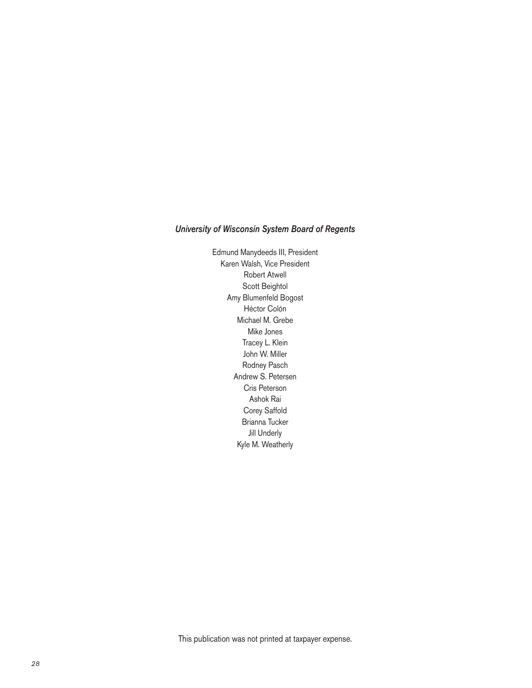#### *University of Wisconsin System Board of Regents*

Edmund Manydeeds III, President Karen Walsh, Vice President Robert Atwell Scott Beightol Amy Blumenfeld Bogost Héctor Colón Michael M. Grebe Mike Jones Tracey L. Klein John W. Miller Rodney Pasch Andrew S. Petersen Cris Peterson Ashok Rai Corey Saffold Brianna Tucker Jill Underly Kyle M. Weatherly

This publication was not printed at taxpayer expense.